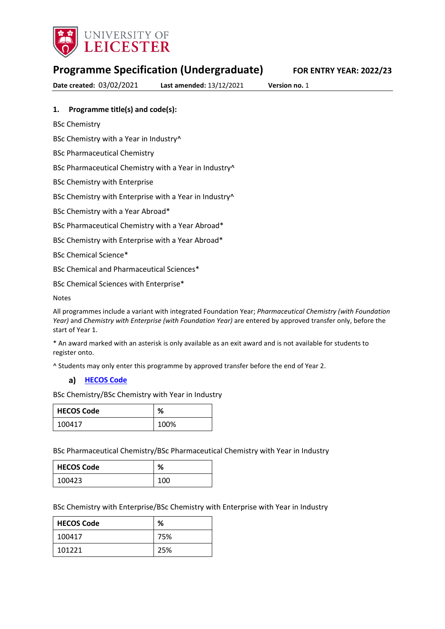

# **Programme Specification (Undergraduate) FOR ENTRY YEAR: 2022/23**

**Date created:** 03/02/2021 **Last amended:** 13/12/2021 **Version no.** 1

### **1. Programme title(s) and code(s):**

BSc Chemistry

BSc Chemistry with a Year in Industry<sup>^</sup>

BSc Pharmaceutical Chemistry

BSc Pharmaceutical Chemistry with a Year in Industry^

BSc Chemistry with Enterprise

BSc Chemistry with Enterprise with a Year in Industry^

BSc Chemistry with a Year Abroad\*

BSc Pharmaceutical Chemistry with a Year Abroad\*

BSc Chemistry with Enterprise with a Year Abroad\*

BSc Chemical Science\*

BSc Chemical and Pharmaceutical Sciences\*

BSc Chemical Sciences with Enterprise\*

Notes

All programmes include a variant with integrated Foundation Year; *Pharmaceutical Chemistry (with Foundation Year)* and *Chemistry with Enterprise (with Foundation Year)* are entered by approved transfer only, before the start of Year 1.

\* An award marked with an asterisk is only available as an exit award and is not available for students to register onto.

^ Students may only enter this programme by approved transfer before the end of Year 2.

#### **[HECOS Code](https://www.hesa.ac.uk/innovation/hecos)**

BSc Chemistry/BSc Chemistry with Year in Industry

| <b>HECOS Code</b> | ℅    |
|-------------------|------|
| 100417            | 100% |

BSc Pharmaceutical Chemistry/BSc Pharmaceutical Chemistry with Year in Industry

| HECOS Code | %   |
|------------|-----|
| 100423     | 100 |

BSc Chemistry with Enterprise/BSc Chemistry with Enterprise with Year in Industry

| <b>HECOS Code</b> | %   |
|-------------------|-----|
| 100417            | 75% |
| 101221            | 25% |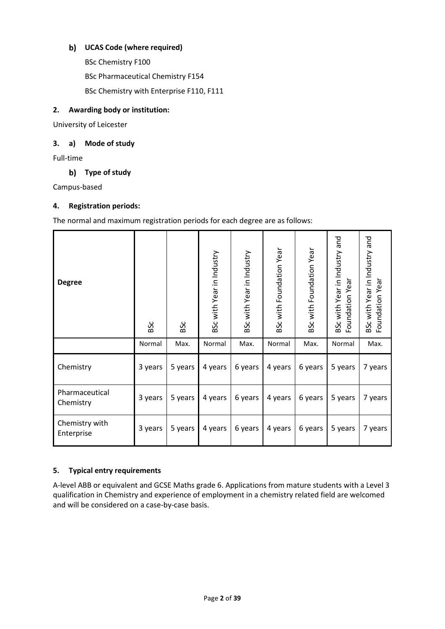## **UCAS Code (where required)**

BSc Chemistry F100 BSc Pharmaceutical Chemistry F154 BSc Chemistry with Enterprise F110, F111

### **2. Awarding body or institution:**

University of Leicester

### **3. a) Mode of study**

Full-time

### **Type of study**

Campus-based

### **4. Registration periods:**

The normal and maximum registration periods for each degree are as follows:

| <b>Degree</b>                | BSc     | BSc     | 3Sc with Year in Industry | BSc with Year in Industry | 3Sc with Foundation Year | <b>BSc with Foundation Year</b> | BSc with Year in Industry and<br>Foundation Year | BSc with Year in Industry and<br>Foundation Year |
|------------------------------|---------|---------|---------------------------|---------------------------|--------------------------|---------------------------------|--------------------------------------------------|--------------------------------------------------|
|                              | Normal  | Max.    | Normal                    | Max.                      | Normal                   | Max.                            | Normal                                           | Max.                                             |
| Chemistry                    | 3 years | 5 years | 4 years                   | 6 years                   | 4 years                  | 6 years                         | 5 years                                          | 7 years                                          |
| Pharmaceutical<br>Chemistry  | 3 years | 5 years | 4 years                   | 6 years                   | 4 years                  | 6 years                         | 5 years                                          | 7 years                                          |
| Chemistry with<br>Enterprise | 3 years | 5 years | 4 years                   | 6 years                   | 4 years                  | 6 years                         | 5 years                                          | 7 years                                          |

### **5. Typical entry requirements**

A-level ABB or equivalent and GCSE Maths grade 6. Applications from mature students with a Level 3 qualification in Chemistry and experience of employment in a chemistry related field are welcomed and will be considered on a case-by-case basis.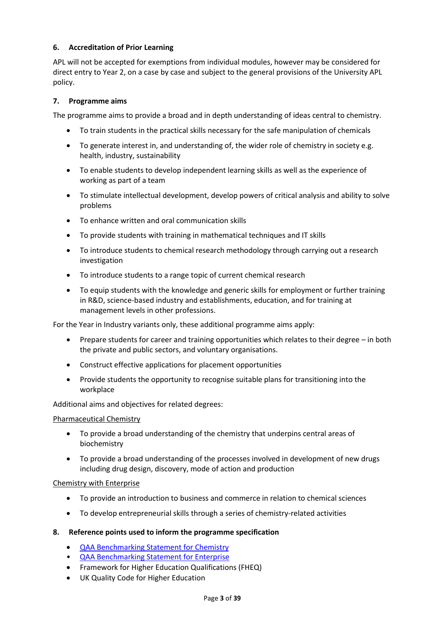### **6. Accreditation of Prior Learning**

APL will not be accepted for exemptions from individual modules, however may be considered for direct entry to Year 2, on a case by case and subject to the general provisions of the University APL policy.

#### **7. Programme aims**

The programme aims to provide a broad and in depth understanding of ideas central to chemistry.

- To train students in the practical skills necessary for the safe manipulation of chemicals
- To generate interest in, and understanding of, the wider role of chemistry in society e.g. health, industry, sustainability
- To enable students to develop independent learning skills as well as the experience of working as part of a team
- To stimulate intellectual development, develop powers of critical analysis and ability to solve problems
- To enhance written and oral communication skills
- To provide students with training in mathematical techniques and IT skills
- To introduce students to chemical research methodology through carrying out a research investigation
- To introduce students to a range topic of current chemical research
- To equip students with the knowledge and generic skills for employment or further training in R&D, science-based industry and establishments, education, and for training at management levels in other professions.

For the Year in Industry variants only, these additional programme aims apply:

- Prepare students for career and training opportunities which relates to their degree in both the private and public sectors, and voluntary organisations.
- Construct effective applications for placement opportunities
- Provide students the opportunity to recognise suitable plans for transitioning into the workplace

#### Additional aims and objectives for related degrees:

#### Pharmaceutical Chemistry

- To provide a broad understanding of the chemistry that underpins central areas of biochemistry
- To provide a broad understanding of the processes involved in development of new drugs including drug design, discovery, mode of action and production

#### Chemistry with Enterprise

- To provide an introduction to business and commerce in relation to chemical sciences
- To develop entrepreneurial skills through a series of chemistry-related activities

#### **8. Reference points used to inform the programme specification**

- [QAA Benchmarking Statement](https://www.qaa.ac.uk/docs/qaa/subject-benchmark-statements/subject-benchmark-statement-chemistry.pdf) for Chemistry
- [QAA Benchmarking Statement for Enterprise](https://www.qaa.ac.uk/docs/qaas/enhancement-and-development/enterprise-and-entrpreneurship-education-2018.pdf?sfvrsn=15f1f981_8)
- Framework for Higher Education Qualifications (FHEQ)
- UK Quality Code for Higher Education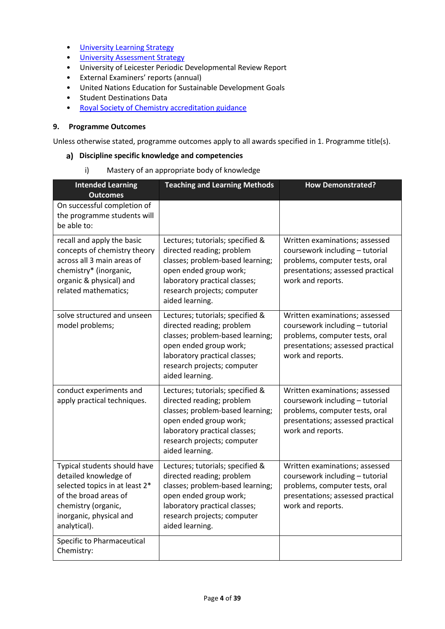- University Learnin[g Strategy](https://www2.le.ac.uk/offices/sas2/quality/learnteach)
- [University Assessment Strategy](https://www2.le.ac.uk/offices/sas2/quality/learnteach)
- University of Leicester Periodic Developmental Review Report
- External Examiners' reports (annual)
- United Nations Education for Sustainable Development Goals
- Student Destinations Data
- [Royal Society of Chemistry accreditation guidance](https://www.rsc.org/membership-and-community/degree-accreditation/?404;http://www.rsc.org:80/images/Accreditaiton%20criteria%202017_tcm18-151306.pdf)

## **9. Programme Outcomes**

Unless otherwise stated, programme outcomes apply to all awards specified in 1. Programme title(s).

### **Discipline specific knowledge and competencies**

i) Mastery of an appropriate body of knowledge

| <b>Intended Learning</b><br><b>Outcomes</b>                                                                                                                                        | <b>Teaching and Learning Methods</b>                                                                                                                                                                           | <b>How Demonstrated?</b>                                                                                                                                      |
|------------------------------------------------------------------------------------------------------------------------------------------------------------------------------------|----------------------------------------------------------------------------------------------------------------------------------------------------------------------------------------------------------------|---------------------------------------------------------------------------------------------------------------------------------------------------------------|
| On successful completion of<br>the programme students will<br>be able to:                                                                                                          |                                                                                                                                                                                                                |                                                                                                                                                               |
| recall and apply the basic<br>concepts of chemistry theory<br>across all 3 main areas of<br>chemistry* (inorganic,<br>organic & physical) and<br>related mathematics;              | Lectures; tutorials; specified &<br>directed reading; problem<br>classes; problem-based learning;<br>open ended group work;<br>laboratory practical classes;<br>research projects; computer<br>aided learning. | Written examinations; assessed<br>coursework including - tutorial<br>problems, computer tests, oral<br>presentations; assessed practical<br>work and reports. |
| solve structured and unseen<br>model problems;                                                                                                                                     | Lectures; tutorials; specified &<br>directed reading; problem<br>classes; problem-based learning;<br>open ended group work;<br>laboratory practical classes;<br>research projects; computer<br>aided learning. | Written examinations; assessed<br>coursework including - tutorial<br>problems, computer tests, oral<br>presentations; assessed practical<br>work and reports. |
| conduct experiments and<br>apply practical techniques.                                                                                                                             | Lectures; tutorials; specified &<br>directed reading; problem<br>classes; problem-based learning;<br>open ended group work;<br>laboratory practical classes;<br>research projects; computer<br>aided learning. | Written examinations; assessed<br>coursework including - tutorial<br>problems, computer tests, oral<br>presentations; assessed practical<br>work and reports. |
| Typical students should have<br>detailed knowledge of<br>selected topics in at least 2*<br>of the broad areas of<br>chemistry (organic,<br>inorganic, physical and<br>analytical). | Lectures; tutorials; specified &<br>directed reading; problem<br>classes; problem-based learning;<br>open ended group work;<br>laboratory practical classes;<br>research projects; computer<br>aided learning. | Written examinations; assessed<br>coursework including - tutorial<br>problems, computer tests, oral<br>presentations; assessed practical<br>work and reports. |
| Specific to Pharmaceutical<br>Chemistry:                                                                                                                                           |                                                                                                                                                                                                                |                                                                                                                                                               |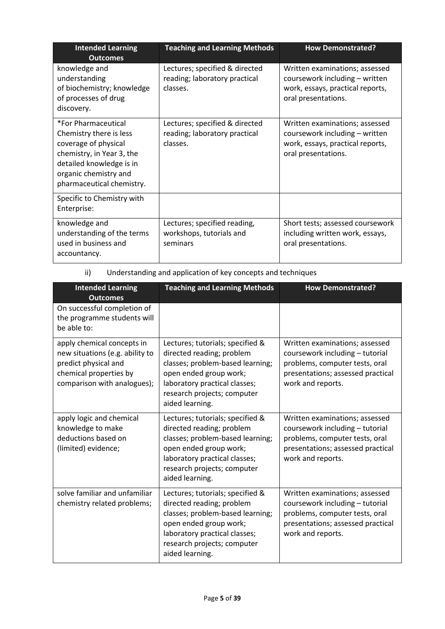| <b>Intended Learning</b><br><b>Outcomes</b>                                                                                                                                           | <b>Teaching and Learning Methods</b>                                        | <b>How Demonstrated?</b>                                                                                                    |
|---------------------------------------------------------------------------------------------------------------------------------------------------------------------------------------|-----------------------------------------------------------------------------|-----------------------------------------------------------------------------------------------------------------------------|
| knowledge and<br>understanding<br>of biochemistry; knowledge<br>of processes of drug<br>discovery.                                                                                    | Lectures; specified & directed<br>reading; laboratory practical<br>classes. | Written examinations; assessed<br>coursework including - written<br>work, essays, practical reports,<br>oral presentations. |
| *For Pharmaceutical<br>Chemistry there is less<br>coverage of physical<br>chemistry, in Year 3, the<br>detailed knowledge is in<br>organic chemistry and<br>pharmaceutical chemistry. | Lectures; specified & directed<br>reading; laboratory practical<br>classes. | Written examinations; assessed<br>coursework including - written<br>work, essays, practical reports,<br>oral presentations. |
| Specific to Chemistry with<br>Enterprise:                                                                                                                                             |                                                                             |                                                                                                                             |
| knowledge and<br>understanding of the terms<br>used in business and<br>accountancy.                                                                                                   | Lectures; specified reading,<br>workshops, tutorials and<br>seminars        | Short tests; assessed coursework<br>including written work, essays,<br>oral presentations.                                  |

ii) Understanding and application of key concepts and techniques

| <b>Intended Learning</b><br><b>Outcomes</b>                                                                                                    | <b>Teaching and Learning Methods</b>                                                                                                                                                                           | <b>How Demonstrated?</b>                                                                                                                                      |
|------------------------------------------------------------------------------------------------------------------------------------------------|----------------------------------------------------------------------------------------------------------------------------------------------------------------------------------------------------------------|---------------------------------------------------------------------------------------------------------------------------------------------------------------|
| On successful completion of<br>the programme students will<br>be able to:                                                                      |                                                                                                                                                                                                                |                                                                                                                                                               |
| apply chemical concepts in<br>new situations (e.g. ability to<br>predict physical and<br>chemical properties by<br>comparison with analogues); | Lectures; tutorials; specified &<br>directed reading; problem<br>classes; problem-based learning;<br>open ended group work;<br>laboratory practical classes;<br>research projects; computer<br>aided learning. | Written examinations; assessed<br>coursework including - tutorial<br>problems, computer tests, oral<br>presentations; assessed practical<br>work and reports. |
| apply logic and chemical<br>knowledge to make<br>deductions based on<br>(limited) evidence;                                                    | Lectures; tutorials; specified &<br>directed reading; problem<br>classes; problem-based learning;<br>open ended group work;<br>laboratory practical classes;<br>research projects; computer<br>aided learning. | Written examinations; assessed<br>coursework including - tutorial<br>problems, computer tests, oral<br>presentations; assessed practical<br>work and reports. |
| solve familiar and unfamiliar<br>chemistry related problems;                                                                                   | Lectures; tutorials; specified &<br>directed reading; problem<br>classes; problem-based learning;<br>open ended group work;<br>laboratory practical classes;<br>research projects; computer<br>aided learning. | Written examinations; assessed<br>coursework including - tutorial<br>problems, computer tests, oral<br>presentations; assessed practical<br>work and reports. |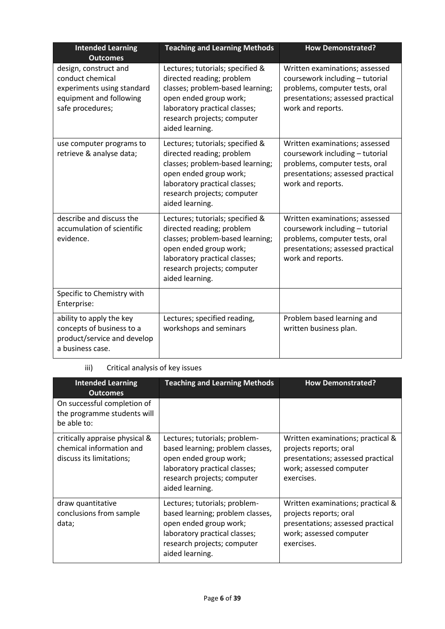| <b>Intended Learning</b><br><b>Outcomes</b>                                                                            | <b>Teaching and Learning Methods</b>                                                                                                                                                                           | <b>How Demonstrated?</b>                                                                                                                                      |
|------------------------------------------------------------------------------------------------------------------------|----------------------------------------------------------------------------------------------------------------------------------------------------------------------------------------------------------------|---------------------------------------------------------------------------------------------------------------------------------------------------------------|
| design, construct and<br>conduct chemical<br>experiments using standard<br>equipment and following<br>safe procedures; | Lectures; tutorials; specified &<br>directed reading; problem<br>classes; problem-based learning;<br>open ended group work;<br>laboratory practical classes;<br>research projects; computer<br>aided learning. | Written examinations; assessed<br>coursework including - tutorial<br>problems, computer tests, oral<br>presentations; assessed practical<br>work and reports. |
| use computer programs to<br>retrieve & analyse data;                                                                   | Lectures; tutorials; specified &<br>directed reading; problem<br>classes; problem-based learning;<br>open ended group work;<br>laboratory practical classes;<br>research projects; computer<br>aided learning. | Written examinations; assessed<br>coursework including - tutorial<br>problems, computer tests, oral<br>presentations; assessed practical<br>work and reports. |
| describe and discuss the<br>accumulation of scientific<br>evidence.                                                    | Lectures; tutorials; specified &<br>directed reading; problem<br>classes; problem-based learning;<br>open ended group work;<br>laboratory practical classes;<br>research projects; computer<br>aided learning. | Written examinations; assessed<br>coursework including - tutorial<br>problems, computer tests, oral<br>presentations; assessed practical<br>work and reports. |
| Specific to Chemistry with<br>Enterprise:                                                                              |                                                                                                                                                                                                                |                                                                                                                                                               |
| ability to apply the key<br>concepts of business to a<br>product/service and develop<br>a business case.               | Lectures; specified reading,<br>workshops and seminars                                                                                                                                                         | Problem based learning and<br>written business plan.                                                                                                          |

## iii) Critical analysis of key issues

| <b>Intended Learning</b><br><b>Outcomes</b>                                            | <b>Teaching and Learning Methods</b>                                                                                                                                           | <b>How Demonstrated?</b>                                                                                                                  |
|----------------------------------------------------------------------------------------|--------------------------------------------------------------------------------------------------------------------------------------------------------------------------------|-------------------------------------------------------------------------------------------------------------------------------------------|
| On successful completion of<br>the programme students will<br>be able to:              |                                                                                                                                                                                |                                                                                                                                           |
| critically appraise physical &<br>chemical information and<br>discuss its limitations; | Lectures; tutorials; problem-<br>based learning; problem classes,<br>open ended group work;<br>laboratory practical classes;<br>research projects; computer<br>aided learning. | Written examinations; practical &<br>projects reports; oral<br>presentations; assessed practical<br>work; assessed computer<br>exercises. |
| draw quantitative<br>conclusions from sample<br>data;                                  | Lectures; tutorials; problem-<br>based learning; problem classes,<br>open ended group work;<br>laboratory practical classes;<br>research projects; computer<br>aided learning. | Written examinations; practical &<br>projects reports; oral<br>presentations; assessed practical<br>work; assessed computer<br>exercises. |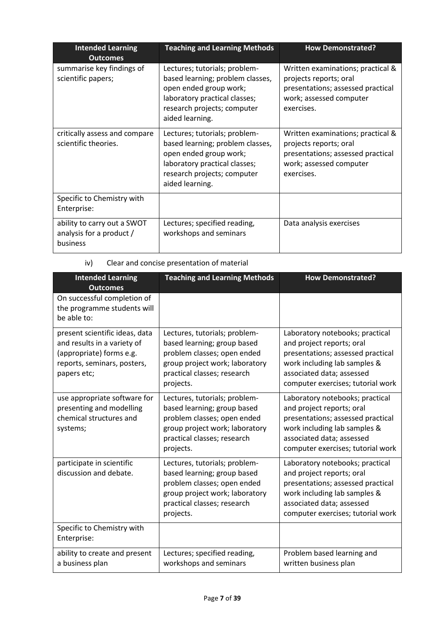| <b>Intended Learning</b><br><b>Outcomes</b>                         | <b>Teaching and Learning Methods</b>                                                                                                                                           | <b>How Demonstrated?</b>                                                                                                                  |
|---------------------------------------------------------------------|--------------------------------------------------------------------------------------------------------------------------------------------------------------------------------|-------------------------------------------------------------------------------------------------------------------------------------------|
| summarise key findings of<br>scientific papers;                     | Lectures; tutorials; problem-<br>based learning; problem classes,<br>open ended group work;<br>laboratory practical classes;<br>research projects; computer<br>aided learning. | Written examinations; practical &<br>projects reports; oral<br>presentations; assessed practical<br>work; assessed computer<br>exercises. |
| critically assess and compare<br>scientific theories.               | Lectures; tutorials; problem-<br>based learning; problem classes,<br>open ended group work;<br>laboratory practical classes;<br>research projects; computer<br>aided learning. | Written examinations; practical &<br>projects reports; oral<br>presentations; assessed practical<br>work; assessed computer<br>exercises. |
| Specific to Chemistry with<br>Enterprise:                           |                                                                                                                                                                                |                                                                                                                                           |
| ability to carry out a SWOT<br>analysis for a product /<br>business | Lectures; specified reading,<br>workshops and seminars                                                                                                                         | Data analysis exercises                                                                                                                   |

## iv) Clear and concise presentation of material

| <b>Intended Learning</b><br><b>Outcomes</b>                                                                                             | <b>Teaching and Learning Methods</b>                                                                                                                                      | <b>How Demonstrated?</b>                                                                                                                                                                            |
|-----------------------------------------------------------------------------------------------------------------------------------------|---------------------------------------------------------------------------------------------------------------------------------------------------------------------------|-----------------------------------------------------------------------------------------------------------------------------------------------------------------------------------------------------|
| On successful completion of<br>the programme students will<br>be able to:                                                               |                                                                                                                                                                           |                                                                                                                                                                                                     |
| present scientific ideas, data<br>and results in a variety of<br>(appropriate) forms e.g.<br>reports, seminars, posters,<br>papers etc; | Lectures, tutorials; problem-<br>based learning; group based<br>problem classes; open ended<br>group project work; laboratory<br>practical classes; research<br>projects. | Laboratory notebooks; practical<br>and project reports; oral<br>presentations; assessed practical<br>work including lab samples &<br>associated data; assessed<br>computer exercises; tutorial work |
| use appropriate software for<br>presenting and modelling<br>chemical structures and<br>systems;                                         | Lectures, tutorials; problem-<br>based learning; group based<br>problem classes; open ended<br>group project work; laboratory<br>practical classes; research<br>projects. | Laboratory notebooks; practical<br>and project reports; oral<br>presentations; assessed practical<br>work including lab samples &<br>associated data; assessed<br>computer exercises; tutorial work |
| participate in scientific<br>discussion and debate.                                                                                     | Lectures, tutorials; problem-<br>based learning; group based<br>problem classes; open ended<br>group project work; laboratory<br>practical classes; research<br>projects. | Laboratory notebooks; practical<br>and project reports; oral<br>presentations; assessed practical<br>work including lab samples &<br>associated data; assessed<br>computer exercises; tutorial work |
| Specific to Chemistry with<br>Enterprise:                                                                                               |                                                                                                                                                                           |                                                                                                                                                                                                     |
| ability to create and present<br>a business plan                                                                                        | Lectures; specified reading,<br>workshops and seminars                                                                                                                    | Problem based learning and<br>written business plan                                                                                                                                                 |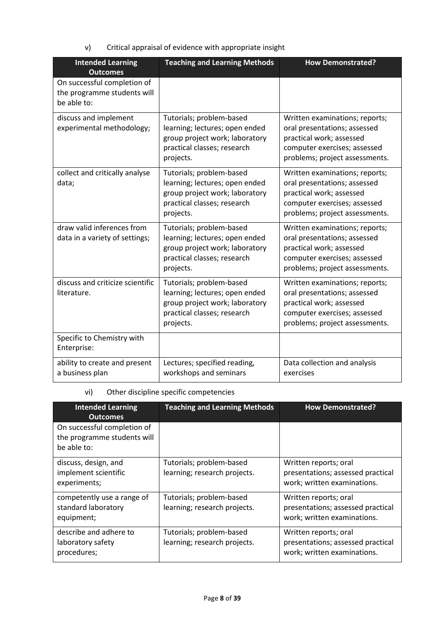v) Critical appraisal of evidence with appropriate insight

| <b>Intended Learning</b><br><b>Outcomes</b>                               | <b>Teaching and Learning Methods</b>                                                                                                     | <b>How Demonstrated?</b>                                                                                                                                     |
|---------------------------------------------------------------------------|------------------------------------------------------------------------------------------------------------------------------------------|--------------------------------------------------------------------------------------------------------------------------------------------------------------|
| On successful completion of<br>the programme students will<br>be able to: |                                                                                                                                          |                                                                                                                                                              |
| discuss and implement<br>experimental methodology;                        | Tutorials; problem-based<br>learning; lectures; open ended<br>group project work; laboratory<br>practical classes; research<br>projects. | Written examinations; reports;<br>oral presentations; assessed<br>practical work; assessed<br>computer exercises; assessed<br>problems; project assessments. |
| collect and critically analyse<br>data;                                   | Tutorials; problem-based<br>learning; lectures; open ended<br>group project work; laboratory<br>practical classes; research<br>projects. | Written examinations; reports;<br>oral presentations; assessed<br>practical work; assessed<br>computer exercises; assessed<br>problems; project assessments. |
| draw valid inferences from<br>data in a variety of settings;              | Tutorials; problem-based<br>learning; lectures; open ended<br>group project work; laboratory<br>practical classes; research<br>projects. | Written examinations; reports;<br>oral presentations; assessed<br>practical work; assessed<br>computer exercises; assessed<br>problems; project assessments. |
| discuss and criticize scientific<br>literature.                           | Tutorials; problem-based<br>learning; lectures; open ended<br>group project work; laboratory<br>practical classes; research<br>projects. | Written examinations; reports;<br>oral presentations; assessed<br>practical work; assessed<br>computer exercises; assessed<br>problems; project assessments. |
| Specific to Chemistry with<br>Enterprise:                                 |                                                                                                                                          |                                                                                                                                                              |
| ability to create and present<br>a business plan                          | Lectures; specified reading,<br>workshops and seminars                                                                                   | Data collection and analysis<br>exercises                                                                                                                    |

## vi) Other discipline specific competencies

| <b>Intended Learning</b><br><b>Outcomes</b>                               | <b>Teaching and Learning Methods</b>                     | <b>How Demonstrated?</b>                                                                  |
|---------------------------------------------------------------------------|----------------------------------------------------------|-------------------------------------------------------------------------------------------|
| On successful completion of<br>the programme students will<br>be able to: |                                                          |                                                                                           |
| discuss, design, and<br>implement scientific<br>experiments;              | Tutorials; problem-based<br>learning; research projects. | Written reports; oral<br>presentations; assessed practical<br>work; written examinations. |
| competently use a range of<br>standard laboratory<br>equipment;           | Tutorials; problem-based<br>learning; research projects. | Written reports; oral<br>presentations; assessed practical<br>work; written examinations. |
| describe and adhere to<br>laboratory safety<br>procedures;                | Tutorials; problem-based<br>learning; research projects. | Written reports; oral<br>presentations; assessed practical<br>work; written examinations. |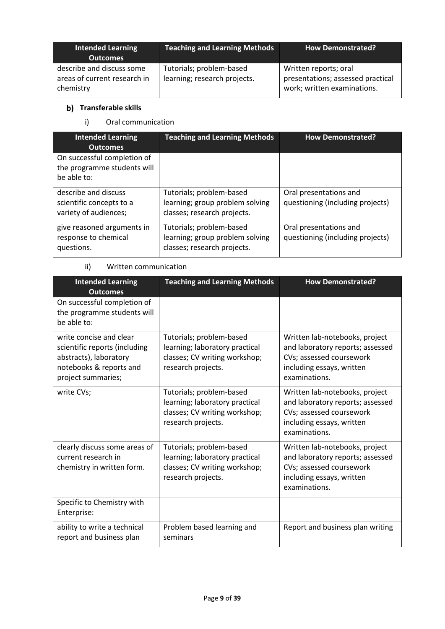| <b>Intended Learning</b><br><b>Outcomes</b>                            | <b>Teaching and Learning Methods</b>                     | How Demonstrated?                                                                         |
|------------------------------------------------------------------------|----------------------------------------------------------|-------------------------------------------------------------------------------------------|
| describe and discuss some<br>areas of current research in<br>chemistry | Tutorials; problem-based<br>learning; research projects. | Written reports; oral<br>presentations; assessed practical<br>work; written examinations. |

## **b)** Transferable skills

## i) Oral communication

| <b>Intended Learning</b><br><b>Outcomes</b>                               | <b>Teaching and Learning Methods</b>                                                       | <b>How Demonstrated?</b>                                   |
|---------------------------------------------------------------------------|--------------------------------------------------------------------------------------------|------------------------------------------------------------|
| On successful completion of<br>the programme students will<br>be able to: |                                                                                            |                                                            |
| describe and discuss<br>scientific concepts to a<br>variety of audiences; | Tutorials; problem-based<br>learning; group problem solving<br>classes; research projects. | Oral presentations and<br>questioning (including projects) |
| give reasoned arguments in<br>response to chemical<br>questions.          | Tutorials; problem-based<br>learning; group problem solving<br>classes; research projects. | Oral presentations and<br>questioning (including projects) |

## ii) Written communication

| <b>Intended Learning</b><br><b>Outcomes</b>                                                                                         | <b>Teaching and Learning Methods</b>                                                                              | <b>How Demonstrated?</b>                                                                                                                     |
|-------------------------------------------------------------------------------------------------------------------------------------|-------------------------------------------------------------------------------------------------------------------|----------------------------------------------------------------------------------------------------------------------------------------------|
| On successful completion of<br>the programme students will<br>be able to:                                                           |                                                                                                                   |                                                                                                                                              |
| write concise and clear<br>scientific reports (including<br>abstracts), laboratory<br>notebooks & reports and<br>project summaries; | Tutorials; problem-based<br>learning; laboratory practical<br>classes; CV writing workshop;<br>research projects. | Written lab-notebooks, project<br>and laboratory reports; assessed<br>CVs; assessed coursework<br>including essays, written<br>examinations. |
| write CVs;                                                                                                                          | Tutorials; problem-based<br>learning; laboratory practical<br>classes; CV writing workshop;<br>research projects. | Written lab-notebooks, project<br>and laboratory reports; assessed<br>CVs; assessed coursework<br>including essays, written<br>examinations. |
| clearly discuss some areas of<br>current research in<br>chemistry in written form.                                                  | Tutorials; problem-based<br>learning; laboratory practical<br>classes; CV writing workshop;<br>research projects. | Written lab-notebooks, project<br>and laboratory reports; assessed<br>CVs; assessed coursework<br>including essays, written<br>examinations. |
| Specific to Chemistry with<br>Enterprise:                                                                                           |                                                                                                                   |                                                                                                                                              |
| ability to write a technical<br>report and business plan                                                                            | Problem based learning and<br>seminars                                                                            | Report and business plan writing                                                                                                             |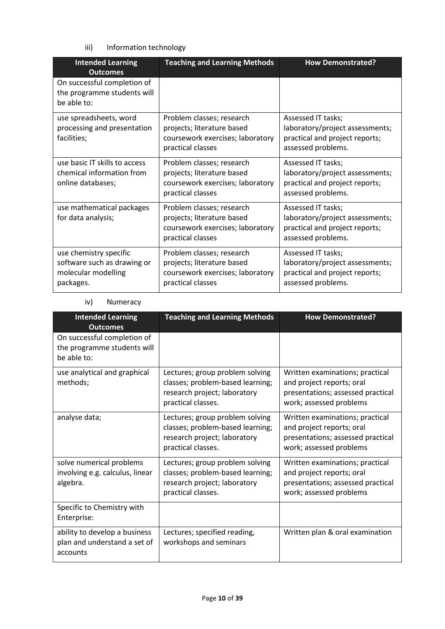iii) Information technology

| <b>Intended Learning</b><br><b>Outcomes</b>                                               | <b>Teaching and Learning Methods</b>                                                                             | <b>How Demonstrated?</b>                                                                                      |
|-------------------------------------------------------------------------------------------|------------------------------------------------------------------------------------------------------------------|---------------------------------------------------------------------------------------------------------------|
| On successful completion of<br>the programme students will<br>be able to:                 |                                                                                                                  |                                                                                                               |
| use spreadsheets, word<br>processing and presentation<br>facilities;                      | Problem classes; research<br>projects; literature based<br>coursework exercises; laboratory<br>practical classes | Assessed IT tasks;<br>laboratory/project assessments;<br>practical and project reports;<br>assessed problems. |
| use basic IT skills to access<br>chemical information from<br>online databases;           | Problem classes; research<br>projects; literature based<br>coursework exercises; laboratory<br>practical classes | Assessed IT tasks;<br>laboratory/project assessments;<br>practical and project reports;<br>assessed problems. |
| use mathematical packages<br>for data analysis;                                           | Problem classes; research<br>projects; literature based<br>coursework exercises; laboratory<br>practical classes | Assessed IT tasks;<br>laboratory/project assessments;<br>practical and project reports;<br>assessed problems. |
| use chemistry specific<br>software such as drawing or<br>molecular modelling<br>packages. | Problem classes; research<br>projects; literature based<br>coursework exercises; laboratory<br>practical classes | Assessed IT tasks;<br>laboratory/project assessments;<br>practical and project reports;<br>assessed problems. |

### iv) Numeracy

| <b>Intended Learning</b><br><b>Outcomes</b>                               | <b>Teaching and Learning Methods</b>                                                                                      | <b>How Demonstrated?</b>                                                                                                     |
|---------------------------------------------------------------------------|---------------------------------------------------------------------------------------------------------------------------|------------------------------------------------------------------------------------------------------------------------------|
| On successful completion of<br>the programme students will<br>be able to: |                                                                                                                           |                                                                                                                              |
| use analytical and graphical<br>methods;                                  | Lectures; group problem solving<br>classes; problem-based learning;<br>research project; laboratory<br>practical classes. | Written examinations; practical<br>and project reports; oral<br>presentations; assessed practical<br>work; assessed problems |
| analyse data;                                                             | Lectures; group problem solving<br>classes; problem-based learning;<br>research project; laboratory<br>practical classes. | Written examinations; practical<br>and project reports; oral<br>presentations; assessed practical<br>work; assessed problems |
| solve numerical problems<br>involving e.g. calculus, linear<br>algebra.   | Lectures; group problem solving<br>classes; problem-based learning;<br>research project; laboratory<br>practical classes. | Written examinations; practical<br>and project reports; oral<br>presentations; assessed practical<br>work; assessed problems |
| Specific to Chemistry with<br>Enterprise:                                 |                                                                                                                           |                                                                                                                              |
| ability to develop a business<br>plan and understand a set of<br>accounts | Lectures; specified reading,<br>workshops and seminars                                                                    | Written plan & oral examination                                                                                              |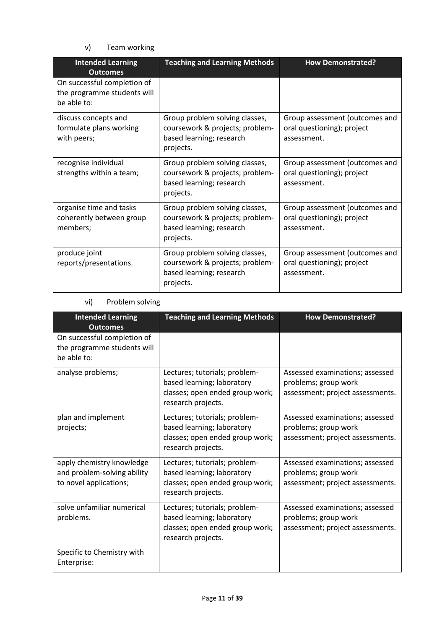v) Team working

| <b>Intended Learning</b><br><b>Outcomes</b>                               | <b>Teaching and Learning Methods</b>                                                                       | <b>How Demonstrated?</b>                                                    |
|---------------------------------------------------------------------------|------------------------------------------------------------------------------------------------------------|-----------------------------------------------------------------------------|
| On successful completion of<br>the programme students will<br>be able to: |                                                                                                            |                                                                             |
| discuss concepts and<br>formulate plans working<br>with peers;            | Group problem solving classes,<br>coursework & projects; problem-<br>based learning; research<br>projects. | Group assessment (outcomes and<br>oral questioning); project<br>assessment. |
| recognise individual<br>strengths within a team;                          | Group problem solving classes,<br>coursework & projects; problem-<br>based learning; research<br>projects. | Group assessment (outcomes and<br>oral questioning); project<br>assessment. |
| organise time and tasks<br>coherently between group<br>members;           | Group problem solving classes,<br>coursework & projects; problem-<br>based learning; research<br>projects. | Group assessment (outcomes and<br>oral questioning); project<br>assessment. |
| produce joint<br>reports/presentations.                                   | Group problem solving classes,<br>coursework & projects; problem-<br>based learning; research<br>projects. | Group assessment (outcomes and<br>oral questioning); project<br>assessment. |

## vi) Problem solving

| <b>Intended Learning</b><br><b>Outcomes</b>                                        | <b>Teaching and Learning Methods</b>                                                                                 | <b>How Demonstrated?</b>                                                                    |
|------------------------------------------------------------------------------------|----------------------------------------------------------------------------------------------------------------------|---------------------------------------------------------------------------------------------|
| On successful completion of<br>the programme students will<br>be able to:          |                                                                                                                      |                                                                                             |
| analyse problems;                                                                  | Lectures; tutorials; problem-<br>based learning; laboratory<br>classes; open ended group work;<br>research projects. | Assessed examinations; assessed<br>problems; group work<br>assessment; project assessments. |
| plan and implement<br>projects;                                                    | Lectures; tutorials; problem-<br>based learning; laboratory<br>classes; open ended group work;<br>research projects. | Assessed examinations; assessed<br>problems; group work<br>assessment; project assessments. |
| apply chemistry knowledge<br>and problem-solving ability<br>to novel applications; | Lectures; tutorials; problem-<br>based learning; laboratory<br>classes; open ended group work;<br>research projects. | Assessed examinations; assessed<br>problems; group work<br>assessment; project assessments. |
| solve unfamiliar numerical<br>problems.                                            | Lectures; tutorials; problem-<br>based learning; laboratory<br>classes; open ended group work;<br>research projects. | Assessed examinations; assessed<br>problems; group work<br>assessment; project assessments. |
| Specific to Chemistry with<br>Enterprise:                                          |                                                                                                                      |                                                                                             |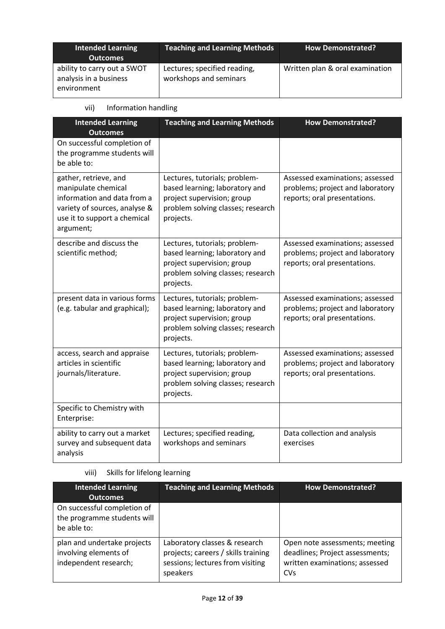| <b>Intended Learning</b><br><b>Outcomes</b>                          | Teaching and Learning Methods                          | <b>How Demonstrated?</b>        |
|----------------------------------------------------------------------|--------------------------------------------------------|---------------------------------|
| ability to carry out a SWOT<br>analysis in a business<br>environment | Lectures; specified reading,<br>workshops and seminars | Written plan & oral examination |

## vii) Information handling

| <b>Intended Learning</b><br><b>Outcomes</b>                                                                                                               | <b>Teaching and Learning Methods</b>                                                                                                            | <b>How Demonstrated?</b>                                                                            |
|-----------------------------------------------------------------------------------------------------------------------------------------------------------|-------------------------------------------------------------------------------------------------------------------------------------------------|-----------------------------------------------------------------------------------------------------|
| On successful completion of<br>the programme students will<br>be able to:                                                                                 |                                                                                                                                                 |                                                                                                     |
| gather, retrieve, and<br>manipulate chemical<br>information and data from a<br>variety of sources, analyse &<br>use it to support a chemical<br>argument; | Lectures, tutorials; problem-<br>based learning; laboratory and<br>project supervision; group<br>problem solving classes; research<br>projects. | Assessed examinations; assessed<br>problems; project and laboratory<br>reports; oral presentations. |
| describe and discuss the<br>scientific method;                                                                                                            | Lectures, tutorials; problem-<br>based learning; laboratory and<br>project supervision; group<br>problem solving classes; research<br>projects. | Assessed examinations; assessed<br>problems; project and laboratory<br>reports; oral presentations. |
| present data in various forms<br>(e.g. tabular and graphical);                                                                                            | Lectures, tutorials; problem-<br>based learning; laboratory and<br>project supervision; group<br>problem solving classes; research<br>projects. | Assessed examinations; assessed<br>problems; project and laboratory<br>reports; oral presentations. |
| access, search and appraise<br>articles in scientific<br>journals/literature.                                                                             | Lectures, tutorials; problem-<br>based learning; laboratory and<br>project supervision; group<br>problem solving classes; research<br>projects. | Assessed examinations; assessed<br>problems; project and laboratory<br>reports; oral presentations. |
| Specific to Chemistry with<br>Enterprise:                                                                                                                 |                                                                                                                                                 |                                                                                                     |
| ability to carry out a market<br>survey and subsequent data<br>analysis                                                                                   | Lectures; specified reading,<br>workshops and seminars                                                                                          | Data collection and analysis<br>exercises                                                           |

## viii) Skills for lifelong learning

| <b>Intended Learning</b><br><b>Outcomes</b>                                   | <b>Teaching and Learning Methods</b>                                                                                 | <b>How Demonstrated?</b>                                                                                          |
|-------------------------------------------------------------------------------|----------------------------------------------------------------------------------------------------------------------|-------------------------------------------------------------------------------------------------------------------|
| On successful completion of<br>the programme students will<br>be able to:     |                                                                                                                      |                                                                                                                   |
| plan and undertake projects<br>involving elements of<br>independent research; | Laboratory classes & research<br>projects; careers / skills training<br>sessions; lectures from visiting<br>speakers | Open note assessments; meeting<br>deadlines; Project assessments;<br>written examinations; assessed<br><b>CVs</b> |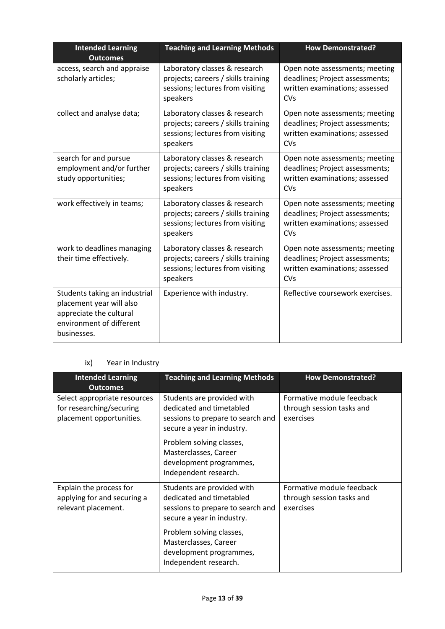| <b>Intended Learning</b><br><b>Outcomes</b>                                                                                     | <b>Teaching and Learning Methods</b>                                                                                 | <b>How Demonstrated?</b>                                                                                          |
|---------------------------------------------------------------------------------------------------------------------------------|----------------------------------------------------------------------------------------------------------------------|-------------------------------------------------------------------------------------------------------------------|
| access, search and appraise<br>scholarly articles;                                                                              | Laboratory classes & research<br>projects; careers / skills training<br>sessions; lectures from visiting<br>speakers | Open note assessments; meeting<br>deadlines; Project assessments;<br>written examinations; assessed<br><b>CVs</b> |
| collect and analyse data;                                                                                                       | Laboratory classes & research<br>projects; careers / skills training<br>sessions; lectures from visiting<br>speakers | Open note assessments; meeting<br>deadlines; Project assessments;<br>written examinations; assessed<br><b>CVs</b> |
| search for and pursue<br>employment and/or further<br>study opportunities;                                                      | Laboratory classes & research<br>projects; careers / skills training<br>sessions; lectures from visiting<br>speakers | Open note assessments; meeting<br>deadlines; Project assessments;<br>written examinations; assessed<br>CVs        |
| work effectively in teams;                                                                                                      | Laboratory classes & research<br>projects; careers / skills training<br>sessions; lectures from visiting<br>speakers | Open note assessments; meeting<br>deadlines; Project assessments;<br>written examinations; assessed<br><b>CVs</b> |
| work to deadlines managing<br>their time effectively.                                                                           | Laboratory classes & research<br>projects; careers / skills training<br>sessions; lectures from visiting<br>speakers | Open note assessments; meeting<br>deadlines; Project assessments;<br>written examinations; assessed<br><b>CVs</b> |
| Students taking an industrial<br>placement year will also<br>appreciate the cultural<br>environment of different<br>businesses. | Experience with industry.                                                                                            | Reflective coursework exercises.                                                                                  |

## ix) Year in Industry

| <b>Intended Learning</b><br><b>Outcomes</b>                                          | <b>Teaching and Learning Methods</b>                                                                                      | <b>How Demonstrated?</b>                                            |
|--------------------------------------------------------------------------------------|---------------------------------------------------------------------------------------------------------------------------|---------------------------------------------------------------------|
| Select appropriate resources<br>for researching/securing<br>placement opportunities. | Students are provided with<br>dedicated and timetabled<br>sessions to prepare to search and<br>secure a year in industry. | Formative module feedback<br>through session tasks and<br>exercises |
|                                                                                      | Problem solving classes,<br>Masterclasses, Career<br>development programmes,<br>Independent research.                     |                                                                     |
| Explain the process for<br>applying for and securing a<br>relevant placement.        | Students are provided with<br>dedicated and timetabled<br>sessions to prepare to search and<br>secure a year in industry. | Formative module feedback<br>through session tasks and<br>exercises |
|                                                                                      | Problem solving classes,<br>Masterclasses, Career<br>development programmes,<br>Independent research.                     |                                                                     |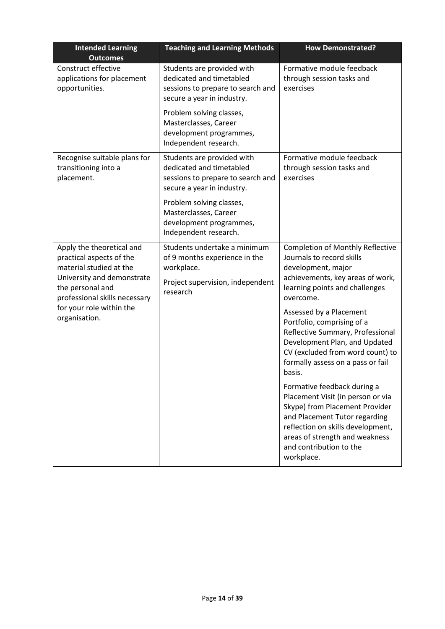| <b>Intended Learning</b><br><b>Outcomes</b>                                      | <b>Teaching and Learning Methods</b>                                                                                      | <b>How Demonstrated?</b>                                                                                                                                                                                                                            |
|----------------------------------------------------------------------------------|---------------------------------------------------------------------------------------------------------------------------|-----------------------------------------------------------------------------------------------------------------------------------------------------------------------------------------------------------------------------------------------------|
| Construct effective<br>applications for placement<br>opportunities.              | Students are provided with<br>dedicated and timetabled<br>sessions to prepare to search and<br>secure a year in industry. | Formative module feedback<br>through session tasks and<br>exercises                                                                                                                                                                                 |
|                                                                                  | Problem solving classes,<br>Masterclasses, Career<br>development programmes,<br>Independent research.                     |                                                                                                                                                                                                                                                     |
| Recognise suitable plans for<br>transitioning into a<br>placement.               | Students are provided with<br>dedicated and timetabled<br>sessions to prepare to search and<br>secure a year in industry. | Formative module feedback<br>through session tasks and<br>exercises                                                                                                                                                                                 |
|                                                                                  | Problem solving classes,<br>Masterclasses, Career<br>development programmes,<br>Independent research.                     |                                                                                                                                                                                                                                                     |
| Apply the theoretical and<br>practical aspects of the<br>material studied at the | Students undertake a minimum<br>of 9 months experience in the<br>workplace.                                               | <b>Completion of Monthly Reflective</b><br>Journals to record skills<br>development, major                                                                                                                                                          |
| the personal and<br>professional skills necessary                                | University and demonstrate<br>Project supervision, independent<br>research                                                | achievements, key areas of work,<br>learning points and challenges<br>overcome.                                                                                                                                                                     |
| for your role within the<br>organisation.                                        |                                                                                                                           | Assessed by a Placement<br>Portfolio, comprising of a<br>Reflective Summary, Professional<br>Development Plan, and Updated<br>CV (excluded from word count) to<br>formally assess on a pass or fail<br>basis.                                       |
|                                                                                  |                                                                                                                           | Formative feedback during a<br>Placement Visit (in person or via<br>Skype) from Placement Provider<br>and Placement Tutor regarding<br>reflection on skills development,<br>areas of strength and weakness<br>and contribution to the<br>workplace. |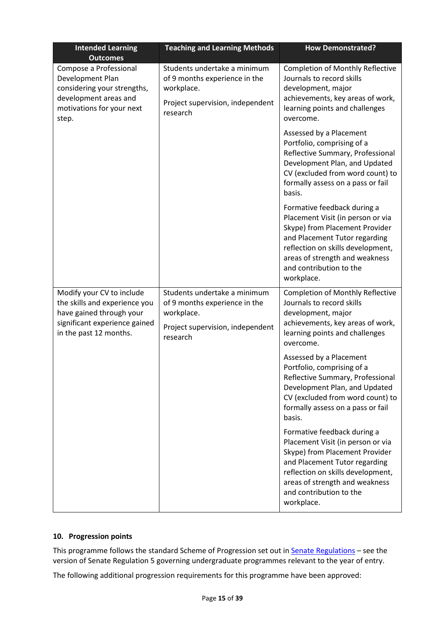| <b>Intended Learning</b><br><b>Outcomes</b>                                                                                                       | <b>Teaching and Learning Methods</b>                                                                                        | <b>How Demonstrated?</b>                                                                                                                                                                                                                            |
|---------------------------------------------------------------------------------------------------------------------------------------------------|-----------------------------------------------------------------------------------------------------------------------------|-----------------------------------------------------------------------------------------------------------------------------------------------------------------------------------------------------------------------------------------------------|
| Compose a Professional<br>Development Plan<br>considering your strengths,<br>development areas and<br>motivations for your next<br>step.          | Students undertake a minimum<br>of 9 months experience in the<br>workplace.<br>Project supervision, independent<br>research | <b>Completion of Monthly Reflective</b><br>Journals to record skills<br>development, major<br>achievements, key areas of work,<br>learning points and challenges<br>overcome.                                                                       |
|                                                                                                                                                   |                                                                                                                             | Assessed by a Placement<br>Portfolio, comprising of a<br>Reflective Summary, Professional<br>Development Plan, and Updated<br>CV (excluded from word count) to<br>formally assess on a pass or fail<br>basis.                                       |
|                                                                                                                                                   |                                                                                                                             | Formative feedback during a<br>Placement Visit (in person or via<br>Skype) from Placement Provider<br>and Placement Tutor regarding<br>reflection on skills development,<br>areas of strength and weakness<br>and contribution to the<br>workplace. |
| Modify your CV to include<br>the skills and experience you<br>have gained through your<br>significant experience gained<br>in the past 12 months. | Students undertake a minimum<br>of 9 months experience in the<br>workplace.<br>Project supervision, independent<br>research | <b>Completion of Monthly Reflective</b><br>Journals to record skills<br>development, major<br>achievements, key areas of work,<br>learning points and challenges<br>overcome.                                                                       |
|                                                                                                                                                   |                                                                                                                             | Assessed by a Placement<br>Portfolio, comprising of a<br>Reflective Summary, Professional<br>Development Plan, and Updated<br>CV (excluded from word count) to<br>formally assess on a pass or fail<br>basis.                                       |
|                                                                                                                                                   |                                                                                                                             | Formative feedback during a<br>Placement Visit (in person or via<br>Skype) from Placement Provider<br>and Placement Tutor regarding<br>reflection on skills development,<br>areas of strength and weakness<br>and contribution to the<br>workplace. |

### **10. Progression points**

This programme follows the standard Scheme of Progression set out in **Senate Regulations** - see the version of Senate Regulation 5 governing undergraduate programmes relevant to the year of entry.

The following additional progression requirements for this programme have been approved: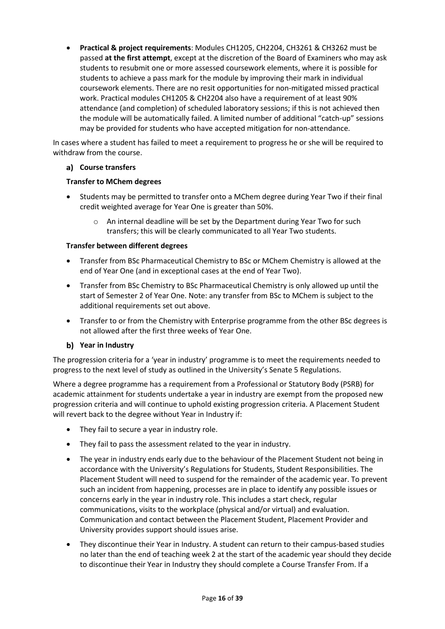• **Practical & project requirements**: Modules CH1205, CH2204, CH3261 & CH3262 must be passed **at the first attempt**, except at the discretion of the Board of Examiners who may ask students to resubmit one or more assessed coursework elements, where it is possible for students to achieve a pass mark for the module by improving their mark in individual coursework elements. There are no resit opportunities for non-mitigated missed practical work. Practical modules CH1205 & CH2204 also have a requirement of at least 90% attendance (and completion) of scheduled laboratory sessions; if this is not achieved then the module will be automatically failed. A limited number of additional "catch-up" sessions may be provided for students who have accepted mitigation for non-attendance.

In cases where a student has failed to meet a requirement to progress he or she will be required to withdraw from the course.

### **Course transfers**

### **Transfer to MChem degrees**

- Students may be permitted to transfer onto a MChem degree during Year Two if their final credit weighted average for Year One is greater than 50%.
	- $\circ$  An internal deadline will be set by the Department during Year Two for such transfers; this will be clearly communicated to all Year Two students.

### **Transfer between different degrees**

- Transfer from BSc Pharmaceutical Chemistry to BSc or MChem Chemistry is allowed at the end of Year One (and in exceptional cases at the end of Year Two).
- Transfer from BSc Chemistry to BSc Pharmaceutical Chemistry is only allowed up until the start of Semester 2 of Year One. Note: any transfer from BSc to MChem is subject to the additional requirements set out above.
- Transfer to or from the Chemistry with Enterprise programme from the other BSc degrees is not allowed after the first three weeks of Year One.

### **Year in Industry**

The progression criteria for a 'year in industry' programme is to meet the requirements needed to progress to the next level of study as outlined in the University's Senate 5 Regulations.

Where a degree programme has a requirement from a Professional or Statutory Body (PSRB) for academic attainment for students undertake a year in industry are exempt from the proposed new progression criteria and will continue to uphold existing progression criteria. A Placement Student will revert back to the degree without Year in Industry if:

- They fail to secure a year in industry role.
- They fail to pass the assessment related to the year in industry.
- The year in industry ends early due to the behaviour of the Placement Student not being in accordance with the University's Regulations for Students, Student Responsibilities. The Placement Student will need to suspend for the remainder of the academic year. To prevent such an incident from happening, processes are in place to identify any possible issues or concerns early in the year in industry role. This includes a start check, regular communications, visits to the workplace (physical and/or virtual) and evaluation. Communication and contact between the Placement Student, Placement Provider and University provides support should issues arise.
- They discontinue their Year in Industry. A student can return to their campus-based studies no later than the end of teaching week 2 at the start of the academic year should they decide to discontinue their Year in Industry they should complete a Course Transfer From. If a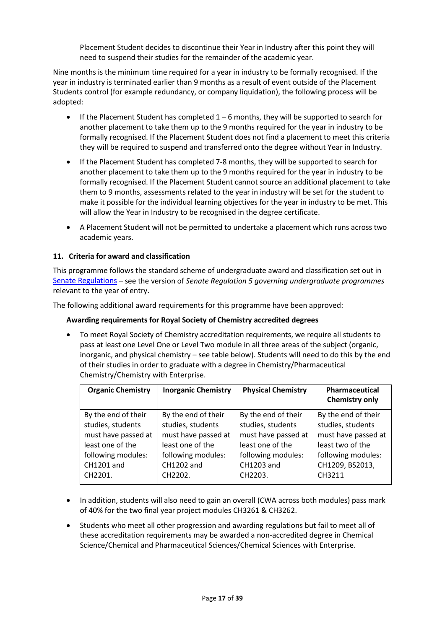Placement Student decides to discontinue their Year in Industry after this point they will need to suspend their studies for the remainder of the academic year.

Nine months is the minimum time required for a year in industry to be formally recognised. If the year in industry is terminated earlier than 9 months as a result of event outside of the Placement Students control (for example redundancy, or company liquidation), the following process will be adopted:

- If the Placement Student has completed  $1-6$  months, they will be supported to search for another placement to take them up to the 9 months required for the year in industry to be formally recognised. If the Placement Student does not find a placement to meet this criteria they will be required to suspend and transferred onto the degree without Year in Industry.
- If the Placement Student has completed 7-8 months, they will be supported to search for another placement to take them up to the 9 months required for the year in industry to be formally recognised. If the Placement Student cannot source an additional placement to take them to 9 months, assessments related to the year in industry will be set for the student to make it possible for the individual learning objectives for the year in industry to be met. This will allow the Year in Industry to be recognised in the degree certificate.
- A Placement Student will not be permitted to undertake a placement which runs across two academic years.

### **11. Criteria for award and classification**

This programme follows the standard scheme of undergraduate award and classification set out in [Senate Regulations](http://www.le.ac.uk/senate-regulations) – see the version of *Senate Regulation 5 governing undergraduate programmes* relevant to the year of entry.

The following additional award requirements for this programme have been approved:

#### **Awarding requirements for Royal Society of Chemistry accredited degrees**

• To meet Royal Society of Chemistry accreditation requirements, we require all students to pass at least one Level One or Level Two module in all three areas of the subject (organic, inorganic, and physical chemistry – see table below). Students will need to do this by the end of their studies in order to graduate with a degree in Chemistry/Pharmaceutical Chemistry/Chemistry with Enterprise.

| <b>Organic Chemistry</b> | <b>Inorganic Chemistry</b> | <b>Physical Chemistry</b> | <b>Pharmaceutical</b><br><b>Chemistry only</b> |
|--------------------------|----------------------------|---------------------------|------------------------------------------------|
| By the end of their      | By the end of their        | By the end of their       | By the end of their                            |
| studies, students        | studies, students          | studies, students         | studies, students                              |
| must have passed at      | must have passed at        | must have passed at       | must have passed at                            |
| least one of the         | least one of the           | least one of the          | least two of the                               |
| following modules:       | following modules:         | following modules:        | following modules:                             |
| CH1201 and               | CH1202 and                 | CH1203 and                | CH1209, BS2013,                                |
| CH2201.                  | CH2202.                    | CH2203.                   | CH3211                                         |
|                          |                            |                           |                                                |

- In addition, students will also need to gain an overall (CWA across both modules) pass mark of 40% for the two final year project modules CH3261 & CH3262.
- Students who meet all other progression and awarding regulations but fail to meet all of these accreditation requirements may be awarded a non-accredited degree in Chemical Science/Chemical and Pharmaceutical Sciences/Chemical Sciences with Enterprise.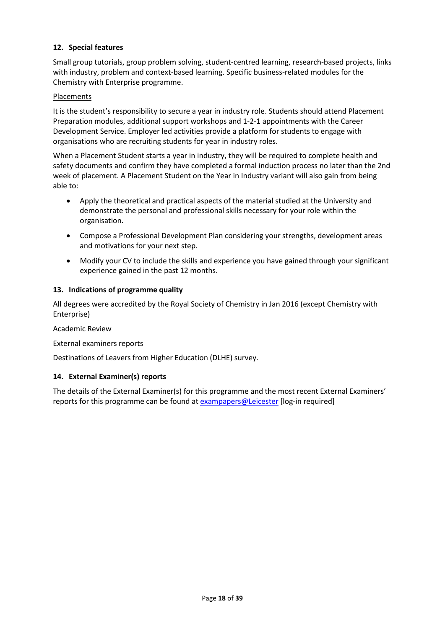### **12. Special features**

Small group tutorials, group problem solving, student-centred learning, research-based projects, links with industry, problem and context-based learning. Specific business-related modules for the Chemistry with Enterprise programme.

#### Placements

It is the student's responsibility to secure a year in industry role. Students should attend Placement Preparation modules, additional support workshops and 1-2-1 appointments with the Career Development Service. Employer led activities provide a platform for students to engage with organisations who are recruiting students for year in industry roles.

When a Placement Student starts a year in industry, they will be required to complete health and safety documents and confirm they have completed a formal induction process no later than the 2nd week of placement. A Placement Student on the Year in Industry variant will also gain from being able to:

- Apply the theoretical and practical aspects of the material studied at the University and demonstrate the personal and professional skills necessary for your role within the organisation.
- Compose a Professional Development Plan considering your strengths, development areas and motivations for your next step.
- Modify your CV to include the skills and experience you have gained through your significant experience gained in the past 12 months.

#### **13. Indications of programme quality**

All degrees were accredited by the Royal Society of Chemistry in Jan 2016 (except Chemistry with Enterprise)

Academic Review

#### External examiners reports

Destinations of Leavers from Higher Education (DLHE) survey.

#### **14. External Examiner(s) reports**

The details of the External Examiner(s) for this programme and the most recent External Examiners' reports for this programme can be found at [exampapers@Leicester](https://exampapers.le.ac.uk/) [log-in required]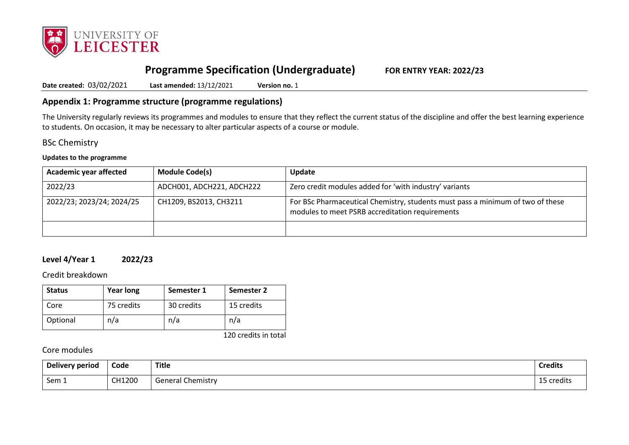

# **Programme Specification (Undergraduate) FOR ENTRY YEAR: 2022/23**

**Date created:** 03/02/2021 **Last amended:** 13/12/2021 **Version no.** 1

## **Appendix 1: Programme structure (programme regulations)**

The University regularly reviews its programmes and modules to ensure that they reflect the current status of the discipline and offer the best learning experience to students. On occasion, it may be necessary to alter particular aspects of a course or module.

## BSc Chemistry

#### **Updates to the programme**

| <b>Academic year affected</b> | <b>Module Code(s)</b>     | <b>Update</b>                                                                                                                     |
|-------------------------------|---------------------------|-----------------------------------------------------------------------------------------------------------------------------------|
| 2022/23                       | ADCH001, ADCH221, ADCH222 | Zero credit modules added for 'with industry' variants                                                                            |
| 2022/23; 2023/24; 2024/25     | CH1209, BS2013, CH3211    | For BSc Pharmaceutical Chemistry, students must pass a minimum of two of these<br>modules to meet PSRB accreditation requirements |
|                               |                           |                                                                                                                                   |

## **Level 4/Year 1 2022/23**

Credit breakdown

| <b>Status</b> | <b>Year long</b> | Semester 1 | Semester 2 |
|---------------|------------------|------------|------------|
| Core          | 75 credits       | 30 credits | 15 credits |
| Optional      | n/a              | n/a        | n/a        |

120 credits in total

| Delivery period  | Code   | <b>Title</b>             | <b>Credits</b>                 |
|------------------|--------|--------------------------|--------------------------------|
| Sem <sub>1</sub> | CH1200 | <b>General Chemistry</b> | $\sim$ $\sim$<br>credits<br>-- |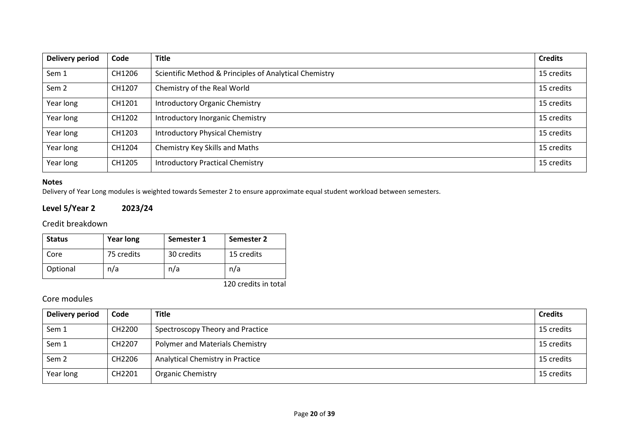| <b>Delivery period</b> | Code   | <b>Title</b>                                           | <b>Credits</b> |
|------------------------|--------|--------------------------------------------------------|----------------|
| Sem 1                  | CH1206 | Scientific Method & Principles of Analytical Chemistry | 15 credits     |
| Sem <sub>2</sub>       | CH1207 | Chemistry of the Real World                            | 15 credits     |
| Year long              | CH1201 | <b>Introductory Organic Chemistry</b>                  | 15 credits     |
| Year long              | CH1202 | Introductory Inorganic Chemistry                       | 15 credits     |
| Year long              | CH1203 | <b>Introductory Physical Chemistry</b>                 | 15 credits     |
| Year long              | CH1204 | Chemistry Key Skills and Maths                         | 15 credits     |
| Year long              | CH1205 | <b>Introductory Practical Chemistry</b>                | 15 credits     |

**Level 5/Year 2 2023/24**

Credit breakdown

| <b>Status</b> | <b>Year long</b> | Semester 1 | Semester 2 |
|---------------|------------------|------------|------------|
| Core          | 75 credits       | 30 credits | 15 credits |
| Optional      | n/a              | n/a        | n/a        |

120 credits in total

Delivery of Year Long modules is weighted towards Semester 2 to ensure approximate equal student workload between semesters.

| <b>Delivery period</b> | Code   | <b>Title</b>                     | <b>Credits</b> |
|------------------------|--------|----------------------------------|----------------|
| Sem 1                  | CH2200 | Spectroscopy Theory and Practice | 15 credits     |
| Sem 1                  | CH2207 | Polymer and Materials Chemistry  | 15 credits     |
| Sem <sub>2</sub>       | CH2206 | Analytical Chemistry in Practice | 15 credits     |
| Year long              | CH2201 | <b>Organic Chemistry</b>         | 15 credits     |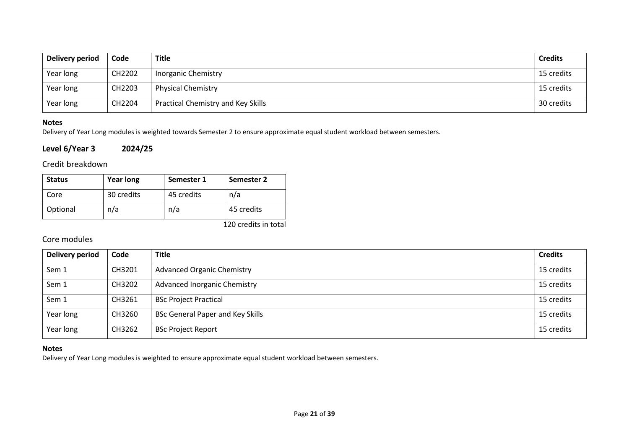| Delivery period | Code   | Title                                     | <b>Credits</b> |
|-----------------|--------|-------------------------------------------|----------------|
| Year long       | CH2202 | <b>Inorganic Chemistry</b>                | 15 credits     |
| Year long       | CH2203 | <b>Physical Chemistry</b>                 | 15 credits     |
| Year long       | CH2204 | <b>Practical Chemistry and Key Skills</b> | 30 credits     |

Delivery of Year Long modules is weighted towards Semester 2 to ensure approximate equal student workload between semesters.

### **Level 6/Year 3 2024/25**

## Credit breakdown

| <b>Status</b> | <b>Year long</b> | Semester 1 | Semester 2 |
|---------------|------------------|------------|------------|
| Core          | 30 credits       | 45 credits | n/a        |
| Optional      | n/a              | n/a        | 45 credits |

120 credits in total

## Core modules

| Delivery period | Code   | <b>Title</b>                            | <b>Credits</b> |
|-----------------|--------|-----------------------------------------|----------------|
| Sem 1           | CH3201 | <b>Advanced Organic Chemistry</b>       | 15 credits     |
| Sem 1           | CH3202 | <b>Advanced Inorganic Chemistry</b>     | 15 credits     |
| Sem 1           | CH3261 | <b>BSc Project Practical</b>            | 15 credits     |
| Year long       | CH3260 | <b>BSc General Paper and Key Skills</b> | 15 credits     |
| Year long       | CH3262 | <b>BSc Project Report</b>               | 15 credits     |

### **Notes**

Delivery of Year Long modules is weighted to ensure approximate equal student workload between semesters.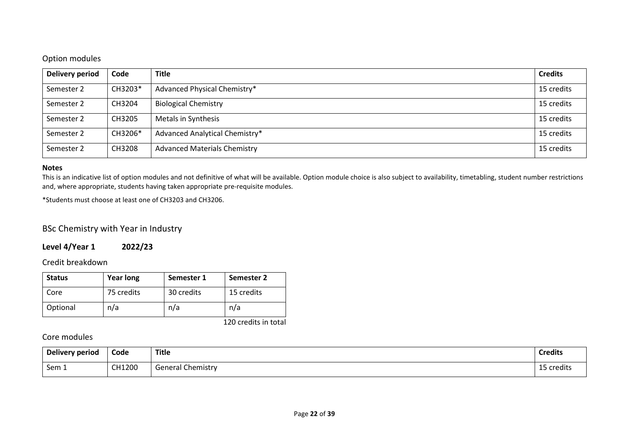## Option modules

| Delivery period | Code    | <b>Title</b>                        | <b>Credits</b> |
|-----------------|---------|-------------------------------------|----------------|
| Semester 2      | CH3203* | Advanced Physical Chemistry*        | 15 credits     |
| Semester 2      | CH3204  | <b>Biological Chemistry</b>         | 15 credits     |
| Semester 2      | CH3205  | Metals in Synthesis                 | 15 credits     |
| Semester 2      | CH3206* | Advanced Analytical Chemistry*      | 15 credits     |
| Semester 2      | CH3208  | <b>Advanced Materials Chemistry</b> | 15 credits     |

#### **Notes**

This is an indicative list of option modules and not definitive of what will be available. Option module choice is also subject to availability, timetabling, student number restrictions and, where appropriate, students having taken appropriate pre-requisite modules.

\*Students must choose at least one of CH3203 and CH3206.

BSc Chemistry with Year in Industry

**Level 4/Year 1 2022/23**

Credit breakdown

| <b>Status</b> | <b>Year long</b> | Semester 1 | Semester 2 |
|---------------|------------------|------------|------------|
| Core          | 75 credits       | 30 credits | 15 credits |
| Optional      | n/a              | n/a        | n/a        |

120 credits in total

| Delivery period | Code   | <b>Title</b>             | <b>Credits</b> |
|-----------------|--------|--------------------------|----------------|
| Sem 1           | CH1200 | <b>General Chemistry</b> | 15 credits     |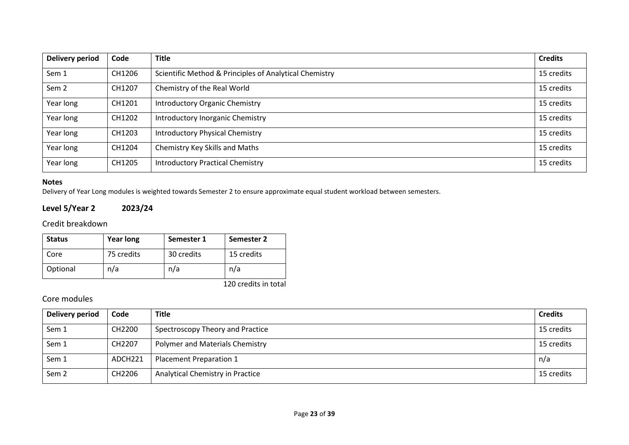| <b>Delivery period</b> | Code   | <b>Title</b>                                           | <b>Credits</b> |
|------------------------|--------|--------------------------------------------------------|----------------|
| Sem 1                  | CH1206 | Scientific Method & Principles of Analytical Chemistry | 15 credits     |
| Sem <sub>2</sub>       | CH1207 | Chemistry of the Real World                            | 15 credits     |
| Year long              | CH1201 | <b>Introductory Organic Chemistry</b>                  | 15 credits     |
| Year long              | CH1202 | Introductory Inorganic Chemistry                       | 15 credits     |
| Year long              | CH1203 | <b>Introductory Physical Chemistry</b>                 | 15 credits     |
| Year long              | CH1204 | Chemistry Key Skills and Maths                         | 15 credits     |
| Year long              | CH1205 | <b>Introductory Practical Chemistry</b>                | 15 credits     |

**Level 5/Year 2 2023/24**

Credit breakdown

| <b>Status</b> | <b>Year long</b> | Semester 1 | Semester 2 |
|---------------|------------------|------------|------------|
| Core          | 75 credits       | 30 credits | 15 credits |
| Optional      | n/a              | n/a        | n/a        |

120 credits in total

Delivery of Year Long modules is weighted towards Semester 2 to ensure approximate equal student workload between semesters.

| <b>Delivery period</b> | Code    | <b>Title</b>                     | <b>Credits</b> |
|------------------------|---------|----------------------------------|----------------|
| Sem 1                  | CH2200  | Spectroscopy Theory and Practice | 15 credits     |
| Sem 1                  | CH2207  | Polymer and Materials Chemistry  | 15 credits     |
| Sem 1                  | ADCH221 | Placement Preparation 1          | n/a            |
| Sem <sub>2</sub>       | CH2206  | Analytical Chemistry in Practice | 15 credits     |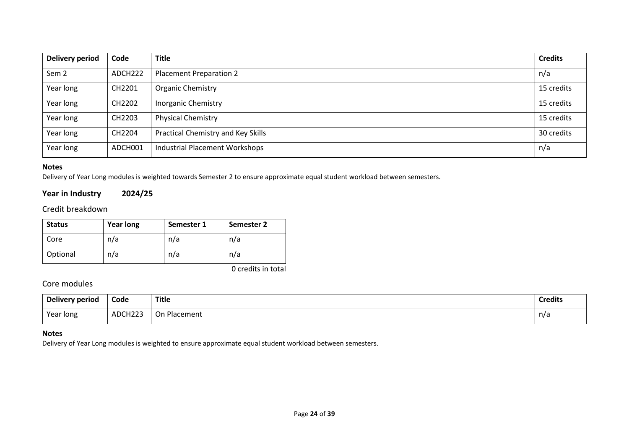| <b>Delivery period</b> | Code                | <b>Title</b>                          | <b>Credits</b> |
|------------------------|---------------------|---------------------------------------|----------------|
| Sem <sub>2</sub>       | ADCH <sub>222</sub> | <b>Placement Preparation 2</b>        | n/a            |
| Year long              | CH2201              | <b>Organic Chemistry</b>              | 15 credits     |
| Year long              | CH2202              | <b>Inorganic Chemistry</b>            | 15 credits     |
| Year long              | CH2203              | <b>Physical Chemistry</b>             | 15 credits     |
| Year long              | CH2204              | Practical Chemistry and Key Skills    | 30 credits     |
| Year long              | ADCH001             | <b>Industrial Placement Workshops</b> | n/a            |

Delivery of Year Long modules is weighted towards Semester 2 to ensure approximate equal student workload between semesters.

## **Year in Industry 2024/25**

Credit breakdown

| <b>Status</b> | <b>Year long</b> | Semester 1 | Semester 2 |
|---------------|------------------|------------|------------|
| Core          | n/a              | n/a        | n/a        |
| Optional      | n/a              | n/a        | n/a        |

0 credits in total

## Core modules

| Delivery period | Code    | <b>Title</b> | .<br><b>Credits</b> |
|-----------------|---------|--------------|---------------------|
| Year long       | ADCH223 | On Placement | n/a                 |

#### **Notes**

Delivery of Year Long modules is weighted to ensure approximate equal student workload between semesters.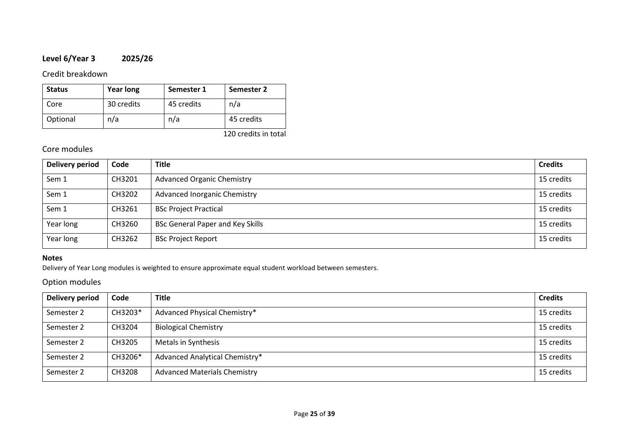## **Level 6/Year 3 2025/26**

### Credit breakdown

| <b>Status</b> | <b>Year long</b> | Semester 1 | Semester 2 |
|---------------|------------------|------------|------------|
| Core          | 30 credits       | 45 credits | n/a        |
| Optional      | n/a              | n/a        | 45 credits |

120 credits in total

## Core modules

| Delivery period | Code   | <b>Title</b>                            | <b>Credits</b> |
|-----------------|--------|-----------------------------------------|----------------|
| Sem 1           | CH3201 | <b>Advanced Organic Chemistry</b>       | 15 credits     |
| Sem 1           | CH3202 | <b>Advanced Inorganic Chemistry</b>     | 15 credits     |
| Sem 1           | CH3261 | <b>BSc Project Practical</b>            | 15 credits     |
| Year long       | CH3260 | <b>BSc General Paper and Key Skills</b> | 15 credits     |
| Year long       | CH3262 | <b>BSc Project Report</b>               | 15 credits     |

### **Notes**

Delivery of Year Long modules is weighted to ensure approximate equal student workload between semesters.

## Option modules

| Delivery period | Code    | <b>Title</b>                        | <b>Credits</b> |
|-----------------|---------|-------------------------------------|----------------|
| Semester 2      | CH3203* | Advanced Physical Chemistry*        | 15 credits     |
| Semester 2      | CH3204  | <b>Biological Chemistry</b>         | 15 credits     |
| Semester 2      | CH3205  | Metals in Synthesis                 | 15 credits     |
| Semester 2      | CH3206* | Advanced Analytical Chemistry*      | 15 credits     |
| Semester 2      | CH3208  | <b>Advanced Materials Chemistry</b> | 15 credits     |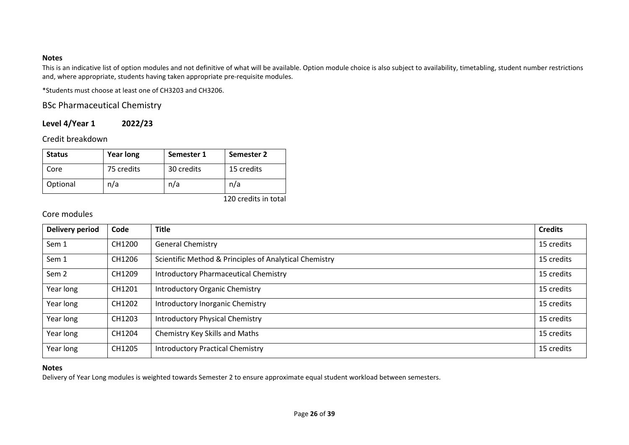This is an indicative list of option modules and not definitive of what will be available. Option module choice is also subject to availability, timetabling, student number restrictions and, where appropriate, students having taken appropriate pre-requisite modules.

\*Students must choose at least one of CH3203 and CH3206.

## BSc Pharmaceutical Chemistry

## **Level 4/Year 1 2022/23**

Credit breakdown

| <b>Status</b> | <b>Year long</b> | Semester 1 | Semester 2 |
|---------------|------------------|------------|------------|
| Core          | 75 credits       | 30 credits | 15 credits |
| Optional      | n/a              | n/a        | n/a        |

120 credits in total

## Core modules

| <b>Delivery period</b> | Code   | <b>Title</b>                                           | <b>Credits</b> |
|------------------------|--------|--------------------------------------------------------|----------------|
| Sem 1                  | CH1200 | <b>General Chemistry</b>                               | 15 credits     |
| Sem 1                  | CH1206 | Scientific Method & Principles of Analytical Chemistry | 15 credits     |
| Sem <sub>2</sub>       | CH1209 | <b>Introductory Pharmaceutical Chemistry</b>           | 15 credits     |
| Year long              | CH1201 | <b>Introductory Organic Chemistry</b>                  | 15 credits     |
| Year long              | CH1202 | Introductory Inorganic Chemistry                       | 15 credits     |
| Year long              | CH1203 | <b>Introductory Physical Chemistry</b>                 | 15 credits     |
| Year long              | CH1204 | Chemistry Key Skills and Maths                         | 15 credits     |
| Year long              | CH1205 | <b>Introductory Practical Chemistry</b>                | 15 credits     |

### **Notes**

Delivery of Year Long modules is weighted towards Semester 2 to ensure approximate equal student workload between semesters.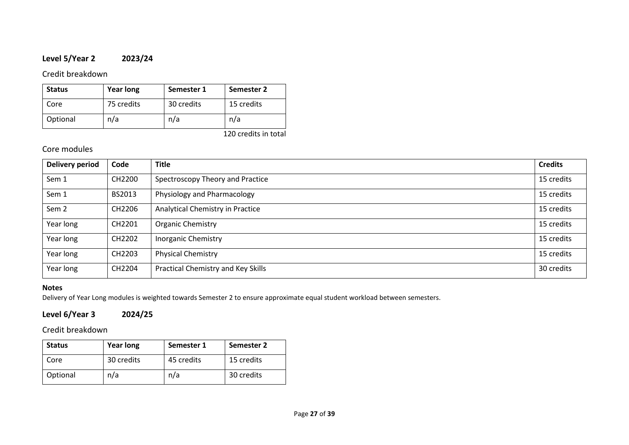## **Level 5/Year 2 2023/24**

## Credit breakdown

| <b>Status</b> | <b>Year long</b> | Semester 1 | Semester 2 |
|---------------|------------------|------------|------------|
| Core          | 75 credits       | 30 credits | 15 credits |
| Optional      | n/a              | n/a        | n/a        |

120 credits in total

## Core modules

| <b>Delivery period</b> | Code               | <b>Title</b>                       | <b>Credits</b> |
|------------------------|--------------------|------------------------------------|----------------|
| Sem 1                  | CH2200             | Spectroscopy Theory and Practice   | 15 credits     |
| Sem 1                  | BS2013             | Physiology and Pharmacology        | 15 credits     |
| Sem <sub>2</sub>       | CH2206             | Analytical Chemistry in Practice   | 15 credits     |
| Year long              | CH2201             | Organic Chemistry                  | 15 credits     |
| Year long              | CH2202             | <b>Inorganic Chemistry</b>         | 15 credits     |
| Year long              | CH <sub>2203</sub> | <b>Physical Chemistry</b>          | 15 credits     |
| Year long              | CH2204             | Practical Chemistry and Key Skills | 30 credits     |

### **Notes**

Delivery of Year Long modules is weighted towards Semester 2 to ensure approximate equal student workload between semesters.

## **Level 6/Year 3 2024/25**

Credit breakdown

| <b>Status</b> | <b>Year long</b> | Semester 1 | Semester 2 |
|---------------|------------------|------------|------------|
| Core          | 30 credits       | 45 credits | 15 credits |
| Optional      | n/a              | n/a        | 30 credits |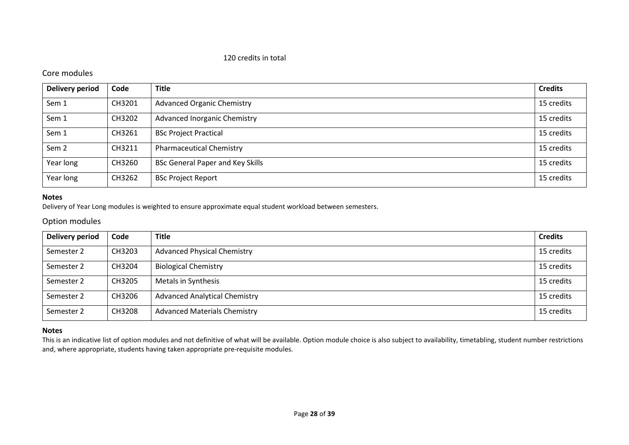#### 120 credits in total

## Core modules

| <b>Delivery period</b> | Code   | <b>Title</b>                            | <b>Credits</b> |
|------------------------|--------|-----------------------------------------|----------------|
| Sem 1                  | CH3201 | <b>Advanced Organic Chemistry</b>       | 15 credits     |
| Sem 1                  | CH3202 | <b>Advanced Inorganic Chemistry</b>     | 15 credits     |
| Sem 1                  | CH3261 | <b>BSc Project Practical</b>            | 15 credits     |
| Sem <sub>2</sub>       | CH3211 | <b>Pharmaceutical Chemistry</b>         | 15 credits     |
| Year long              | CH3260 | <b>BSc General Paper and Key Skills</b> | 15 credits     |
| Year long              | CH3262 | <b>BSc Project Report</b>               | 15 credits     |

#### **Notes**

Delivery of Year Long modules is weighted to ensure approximate equal student workload between semesters.

### Option modules

| Delivery period | Code   | <b>Title</b>                         | <b>Credits</b> |
|-----------------|--------|--------------------------------------|----------------|
| Semester 2      | CH3203 | <b>Advanced Physical Chemistry</b>   | 15 credits     |
| Semester 2      | CH3204 | <b>Biological Chemistry</b>          | 15 credits     |
| Semester 2      | CH3205 | Metals in Synthesis                  | 15 credits     |
| Semester 2      | CH3206 | <b>Advanced Analytical Chemistry</b> | 15 credits     |
| Semester 2      | CH3208 | <b>Advanced Materials Chemistry</b>  | 15 credits     |

#### **Notes**

This is an indicative list of option modules and not definitive of what will be available. Option module choice is also subject to availability, timetabling, student number restrictions and, where appropriate, students having taken appropriate pre-requisite modules.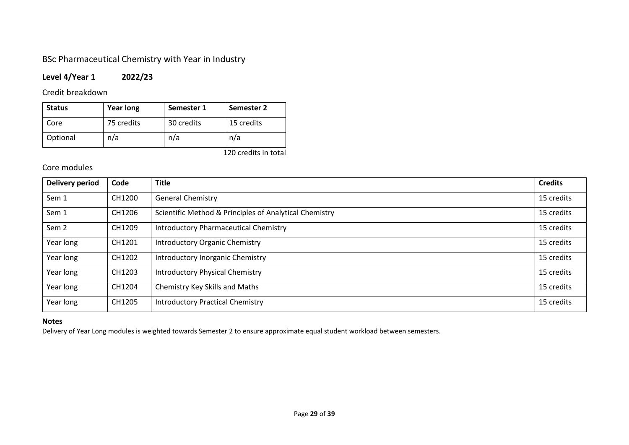## BSc Pharmaceutical Chemistry with Year in Industry

## **Level 4/Year 1 2022/23**

Credit breakdown

| <b>Status</b> | <b>Year long</b> | Semester 1 | Semester 2 |
|---------------|------------------|------------|------------|
| Core          | 75 credits       | 30 credits | 15 credits |
| Optional      | n/a              | n/a        | n/a        |

120 credits in total

## Core modules

| <b>Delivery period</b> | Code   | <b>Title</b>                                           | <b>Credits</b> |
|------------------------|--------|--------------------------------------------------------|----------------|
| Sem 1                  | CH1200 | <b>General Chemistry</b>                               | 15 credits     |
| Sem 1                  | CH1206 | Scientific Method & Principles of Analytical Chemistry | 15 credits     |
| Sem <sub>2</sub>       | CH1209 | <b>Introductory Pharmaceutical Chemistry</b>           | 15 credits     |
| Year long              | CH1201 | <b>Introductory Organic Chemistry</b>                  | 15 credits     |
| Year long              | CH1202 | Introductory Inorganic Chemistry                       | 15 credits     |
| Year long              | CH1203 | <b>Introductory Physical Chemistry</b>                 | 15 credits     |
| Year long              | CH1204 | Chemistry Key Skills and Maths                         | 15 credits     |
| Year long              | CH1205 | <b>Introductory Practical Chemistry</b>                | 15 credits     |

## **Notes**

Delivery of Year Long modules is weighted towards Semester 2 to ensure approximate equal student workload between semesters.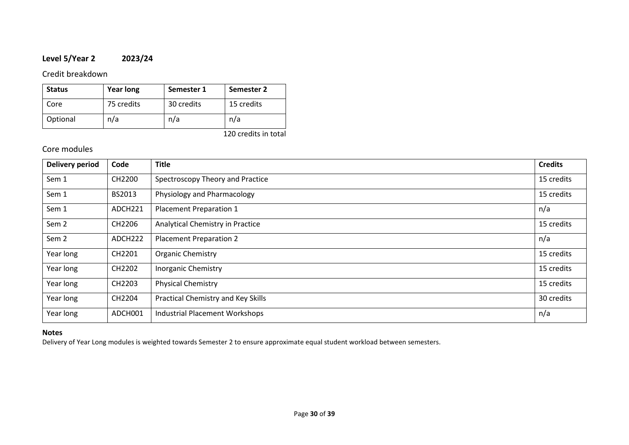## **Level 5/Year 2 2023/24**

## Credit breakdown

| <b>Status</b> | <b>Year long</b> | Semester 1 | Semester 2 |
|---------------|------------------|------------|------------|
| Core          | 75 credits       | 30 credits | 15 credits |
| Optional      | n/a              | n/a        | n/a        |

120 credits in total

## Core modules

| <b>Delivery period</b> | Code                | <b>Title</b>                          | <b>Credits</b> |
|------------------------|---------------------|---------------------------------------|----------------|
| Sem 1                  | CH2200              | Spectroscopy Theory and Practice      | 15 credits     |
| Sem 1                  | BS2013              | Physiology and Pharmacology           | 15 credits     |
| Sem 1                  | ADCH221             | Placement Preparation 1               | n/a            |
| Sem 2                  | CH2206              | Analytical Chemistry in Practice      | 15 credits     |
| Sem <sub>2</sub>       | ADCH <sub>222</sub> | <b>Placement Preparation 2</b>        | n/a            |
| Year long              | CH2201              | Organic Chemistry                     | 15 credits     |
| Year long              | CH2202              | <b>Inorganic Chemistry</b>            | 15 credits     |
| Year long              | CH2203              | <b>Physical Chemistry</b>             | 15 credits     |
| Year long              | CH2204              | Practical Chemistry and Key Skills    | 30 credits     |
| Year long              | ADCH001             | <b>Industrial Placement Workshops</b> | n/a            |

### **Notes**

Delivery of Year Long modules is weighted towards Semester 2 to ensure approximate equal student workload between semesters.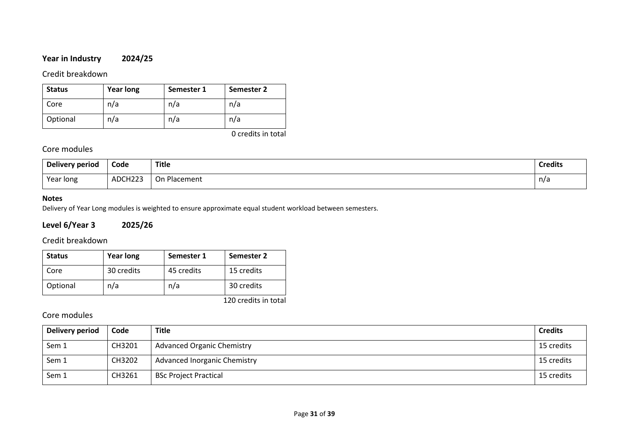## **Year in Industry 2024/25**

## Credit breakdown

| <b>Status</b> | <b>Year long</b> | Semester 1 | Semester 2 |
|---------------|------------------|------------|------------|
| Core          | n/a              | n/a        | n/a        |
| Optional      | n/a              | n/a        | n/a        |

0 credits in total

## Core modules

| Delivery period | Code<br>- - - - | <b>Title</b>                     | <b>Credits</b> |
|-----------------|-----------------|----------------------------------|----------------|
| Year long       | ADCH223         | $\cap$<br><b>Placement</b><br>UH | n/a            |

### **Notes**

Delivery of Year Long modules is weighted to ensure approximate equal student workload between semesters.

## **Level 6/Year 3 2025/26**

## Credit breakdown

| <b>Status</b> | <b>Year long</b> | Semester 1 | <b>Semester 2</b> |
|---------------|------------------|------------|-------------------|
| Core          | 30 credits       | 45 credits | 15 credits        |
| Optional      | n/a              | n/a        | 30 credits        |

120 credits in total

| Delivery period | Code   | <b>Title</b>                        | <b>Credits</b> |
|-----------------|--------|-------------------------------------|----------------|
| Sem 1           | CH3201 | <b>Advanced Organic Chemistry</b>   | 15 credits     |
| Sem 1           | CH3202 | <b>Advanced Inorganic Chemistry</b> | 15 credits     |
| Sem 1           | CH3261 | <b>BSc Project Practical</b>        | 15 credits     |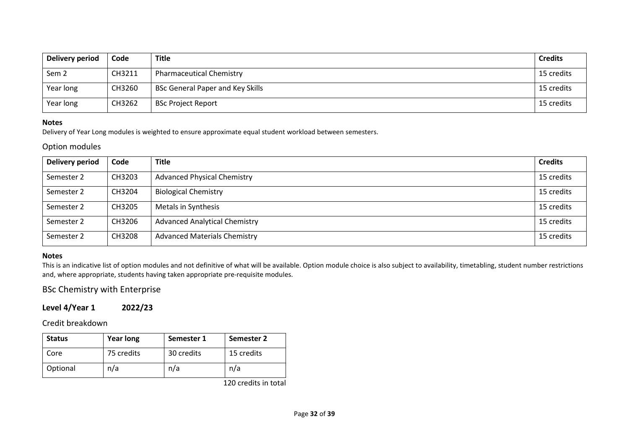| Delivery period  | Code   | <b>Title</b>                            | <b>Credits</b> |
|------------------|--------|-----------------------------------------|----------------|
| Sem <sub>2</sub> | CH3211 | <b>Pharmaceutical Chemistry</b>         | 15 credits     |
| Year long        | CH3260 | <b>BSc General Paper and Key Skills</b> | 15 credits     |
| Year long        | CH3262 | <b>BSc Project Report</b>               | 15 credits     |

Delivery of Year Long modules is weighted to ensure approximate equal student workload between semesters.

#### Option modules

| Delivery period | Code   | <b>Title</b>                         | <b>Credits</b> |
|-----------------|--------|--------------------------------------|----------------|
| Semester 2      | CH3203 | <b>Advanced Physical Chemistry</b>   | 15 credits     |
| Semester 2      | CH3204 | <b>Biological Chemistry</b>          | 15 credits     |
| Semester 2      | CH3205 | Metals in Synthesis                  | 15 credits     |
| Semester 2      | CH3206 | <b>Advanced Analytical Chemistry</b> | 15 credits     |
| Semester 2      | CH3208 | <b>Advanced Materials Chemistry</b>  | 15 credits     |

#### **Notes**

This is an indicative list of option modules and not definitive of what will be available. Option module choice is also subject to availability, timetabling, student number restrictions and, where appropriate, students having taken appropriate pre-requisite modules.

## BSc Chemistry with Enterprise

## **Level 4/Year 1 2022/23**

Credit breakdown

| <b>Status</b> | <b>Year long</b> | Semester 1 | Semester 2 |
|---------------|------------------|------------|------------|
| Core          | 75 credits       | 30 credits | 15 credits |
| Optional      | n/a              | n/a        | n/a        |

120 credits in total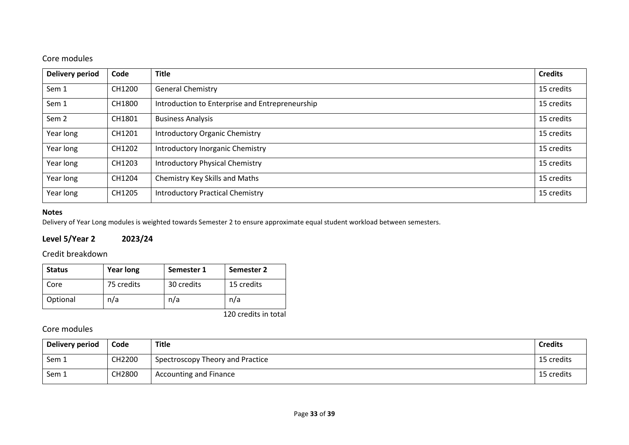## Core modules

| <b>Delivery period</b> | Code   | <b>Title</b>                                    | <b>Credits</b> |
|------------------------|--------|-------------------------------------------------|----------------|
| Sem 1                  | CH1200 | <b>General Chemistry</b>                        | 15 credits     |
| Sem 1                  | CH1800 | Introduction to Enterprise and Entrepreneurship | 15 credits     |
| Sem <sub>2</sub>       | CH1801 | <b>Business Analysis</b>                        | 15 credits     |
| Year long              | CH1201 | <b>Introductory Organic Chemistry</b>           | 15 credits     |
| Year long              | CH1202 | Introductory Inorganic Chemistry                | 15 credits     |
| Year long              | CH1203 | <b>Introductory Physical Chemistry</b>          | 15 credits     |
| Year long              | CH1204 | Chemistry Key Skills and Maths                  | 15 credits     |
| Year long              | CH1205 | <b>Introductory Practical Chemistry</b>         | 15 credits     |

## **Notes**

Delivery of Year Long modules is weighted towards Semester 2 to ensure approximate equal student workload between semesters.

## **Level 5/Year 2 2023/24**

### Credit breakdown

| <b>Status</b> | <b>Year long</b> | Semester 1 | Semester 2 |
|---------------|------------------|------------|------------|
| Core          | 75 credits       | 30 credits | 15 credits |
| Optional      | n/a              | n/a        | n/a        |

120 credits in total

| Delivery period | Code   | Title                            | <b>Credits</b> |
|-----------------|--------|----------------------------------|----------------|
| Sem 1           | CH2200 | Spectroscopy Theory and Practice | 15 credits     |
| Sem 1           | CH2800 | <b>Accounting and Finance</b>    | 15 credits     |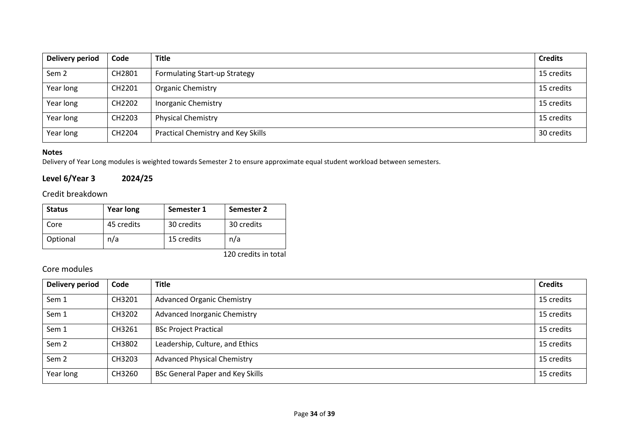| <b>Delivery period</b> | Code   | <b>Title</b>                         | <b>Credits</b> |
|------------------------|--------|--------------------------------------|----------------|
| Sem <sub>2</sub>       | CH2801 | <b>Formulating Start-up Strategy</b> | 15 credits     |
| Year long              | CH2201 | <b>Organic Chemistry</b>             | 15 credits     |
| Year long              | CH2202 | <b>Inorganic Chemistry</b>           | 15 credits     |
| Year long              | CH2203 | <b>Physical Chemistry</b>            | 15 credits     |
| Year long              | CH2204 | Practical Chemistry and Key Skills   | 30 credits     |

Delivery of Year Long modules is weighted towards Semester 2 to ensure approximate equal student workload between semesters.

## **Level 6/Year 3 2024/25**

## Credit breakdown

| <b>Status</b> | <b>Year long</b> | Semester 1 | Semester 2 |
|---------------|------------------|------------|------------|
| Core          | 45 credits       | 30 credits | 30 credits |
| Optional      | n/a              | 15 credits | n/a        |

120 credits in total

| <b>Delivery period</b> | Code   | <b>Title</b>                            | <b>Credits</b> |
|------------------------|--------|-----------------------------------------|----------------|
| Sem 1                  | CH3201 | <b>Advanced Organic Chemistry</b>       | 15 credits     |
| Sem 1                  | CH3202 | <b>Advanced Inorganic Chemistry</b>     | 15 credits     |
| Sem 1                  | CH3261 | <b>BSc Project Practical</b>            | 15 credits     |
| Sem <sub>2</sub>       | CH3802 | Leadership, Culture, and Ethics         | 15 credits     |
| Sem <sub>2</sub>       | CH3203 | <b>Advanced Physical Chemistry</b>      | 15 credits     |
| Year long              | CH3260 | <b>BSc General Paper and Key Skills</b> | 15 credits     |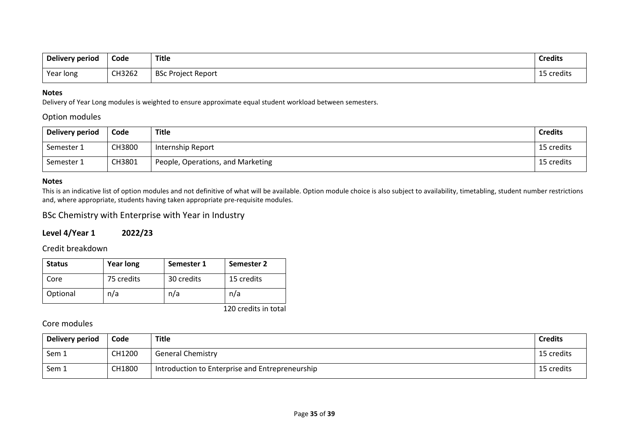| Delivery period | Code   | <b>Title</b>          | <b>Credits</b> |
|-----------------|--------|-----------------------|----------------|
| Year long       | CH3262 | BSc<br>Project Report | 15 credits     |

Delivery of Year Long modules is weighted to ensure approximate equal student workload between semesters.

### Option modules

| Delivery period | Code   | Title                             | <b>Credits</b> |
|-----------------|--------|-----------------------------------|----------------|
| Semester 1      | CH3800 | Internship Report                 | 15 credits     |
| Semester 1      | CH3801 | People, Operations, and Marketing | 15 credits     |

#### **Notes**

This is an indicative list of option modules and not definitive of what will be available. Option module choice is also subject to availability, timetabling, student number restrictions and, where appropriate, students having taken appropriate pre-requisite modules.

## BSc Chemistry with Enterprise with Year in Industry

### **Level 4/Year 1 2022/23**

### Credit breakdown

| <b>Status</b> | <b>Year long</b> | Semester 1 | Semester 2 |
|---------------|------------------|------------|------------|
| Core          | 75 credits       | 30 credits | 15 credits |
| Optional      | n/a              | n/a        | n/a        |

120 credits in total

| Delivery period | Code   | Title                                           | <b>Credits</b> |
|-----------------|--------|-------------------------------------------------|----------------|
| Sem 1           | CH1200 | <b>General Chemistry</b>                        | 15 credits     |
| Sem 1           | CH1800 | Introduction to Enterprise and Entrepreneurship | 15 credits     |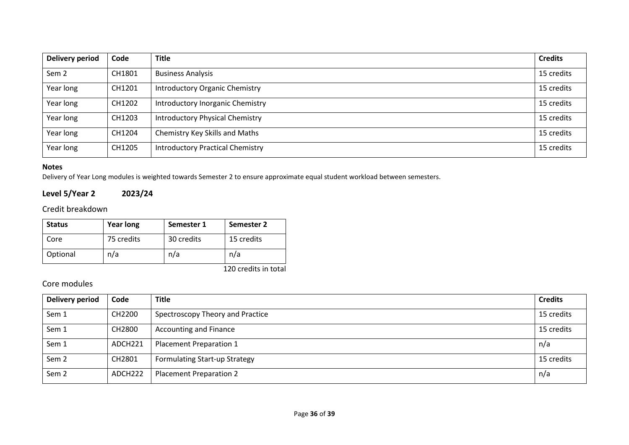| <b>Delivery period</b> | Code   | <b>Title</b>                            | <b>Credits</b> |
|------------------------|--------|-----------------------------------------|----------------|
| Sem <sub>2</sub>       | CH1801 | <b>Business Analysis</b>                | 15 credits     |
| Year long              | CH1201 | <b>Introductory Organic Chemistry</b>   | 15 credits     |
| Year long              | CH1202 | Introductory Inorganic Chemistry        | 15 credits     |
| Year long              | CH1203 | <b>Introductory Physical Chemistry</b>  | 15 credits     |
| Year long              | CH1204 | Chemistry Key Skills and Maths          | 15 credits     |
| Year long              | CH1205 | <b>Introductory Practical Chemistry</b> | 15 credits     |

Delivery of Year Long modules is weighted towards Semester 2 to ensure approximate equal student workload between semesters.

## **Level 5/Year 2 2023/24**

Credit breakdown

| <b>Status</b> | <b>Year long</b> | Semester 1 | Semester 2 |
|---------------|------------------|------------|------------|
| Core          | 75 credits       | 30 credits | 15 credits |
| Optional      | n/a              | n/a        | n/a        |

120 credits in total

| Delivery period  | Code    | <b>Title</b>                         | <b>Credits</b> |
|------------------|---------|--------------------------------------|----------------|
| Sem 1            | CH2200  | Spectroscopy Theory and Practice     | 15 credits     |
| Sem 1            | CH2800  | <b>Accounting and Finance</b>        | 15 credits     |
| Sem 1            | ADCH221 | <b>Placement Preparation 1</b>       | n/a            |
| Sem <sub>2</sub> | CH2801  | <b>Formulating Start-up Strategy</b> | 15 credits     |
| Sem <sub>2</sub> | ADCH222 | <b>Placement Preparation 2</b>       | n/a            |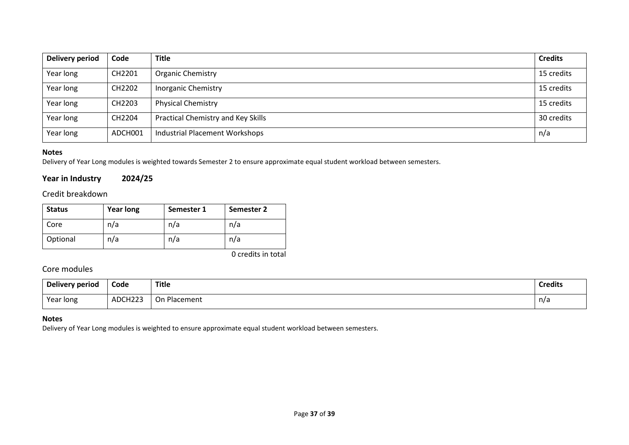| Delivery period | Code    | <b>Title</b>                          | <b>Credits</b> |
|-----------------|---------|---------------------------------------|----------------|
| Year long       | CH2201  | <b>Organic Chemistry</b>              | 15 credits     |
| Year long       | CH2202  | <b>Inorganic Chemistry</b>            | 15 credits     |
| Year long       | CH2203  | <b>Physical Chemistry</b>             | 15 credits     |
| Year long       | CH2204  | Practical Chemistry and Key Skills    | 30 credits     |
| Year long       | ADCH001 | <b>Industrial Placement Workshops</b> | n/a            |

Delivery of Year Long modules is weighted towards Semester 2 to ensure approximate equal student workload between semesters.

## **Year in Industry 2024/25**

## Credit breakdown

| <b>Status</b> | <b>Year long</b> | Semester 1 | Semester 2 |
|---------------|------------------|------------|------------|
| Core          | n/a              | n/a        | n/a        |
| Optional      | n/a              | n/a        | n/a        |

0 credits in total

## Core modules

| Delivery period | Code    | <b>Title</b><br>___                        | <b>Credits</b> |
|-----------------|---------|--------------------------------------------|----------------|
| Year long       | ADCH22? | Placement<br>$\overline{\phantom{a}}$<br>◡ | n/a            |

### **Notes**

Delivery of Year Long modules is weighted to ensure approximate equal student workload between semesters.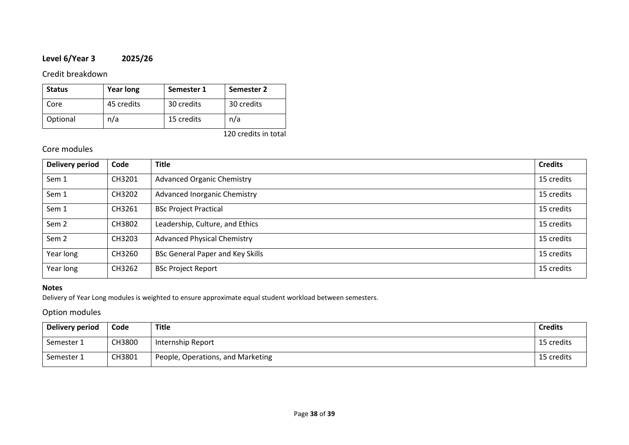## **Level 6/Year 3 2025/26**

### Credit breakdown

| <b>Status</b> | <b>Year long</b> | Semester 1 | Semester 2 |
|---------------|------------------|------------|------------|
| Core          | 45 credits       | 30 credits | 30 credits |
| Optional      | n/a              | 15 credits | n/a        |

120 credits in total

## Core modules

| <b>Delivery period</b> | Code   | <b>Title</b>                            | <b>Credits</b> |
|------------------------|--------|-----------------------------------------|----------------|
| Sem 1                  | CH3201 | <b>Advanced Organic Chemistry</b>       | 15 credits     |
| Sem 1                  | CH3202 | <b>Advanced Inorganic Chemistry</b>     | 15 credits     |
| Sem 1                  | CH3261 | <b>BSc Project Practical</b>            | 15 credits     |
| Sem <sub>2</sub>       | CH3802 | Leadership, Culture, and Ethics         | 15 credits     |
| Sem <sub>2</sub>       | CH3203 | <b>Advanced Physical Chemistry</b>      | 15 credits     |
| Year long              | CH3260 | <b>BSc General Paper and Key Skills</b> | 15 credits     |
| Year long              | CH3262 | <b>BSc Project Report</b>               | 15 credits     |

### **Notes**

Delivery of Year Long modules is weighted to ensure approximate equal student workload between semesters.

## Option modules

| Delivery period | Code   | <b>Title</b>                      | <b>Credits</b> |
|-----------------|--------|-----------------------------------|----------------|
| Semester 1      | CH3800 | Internship Report                 | 15 credits     |
| Semester 1      | CH3801 | People, Operations, and Marketing | 15 credits     |